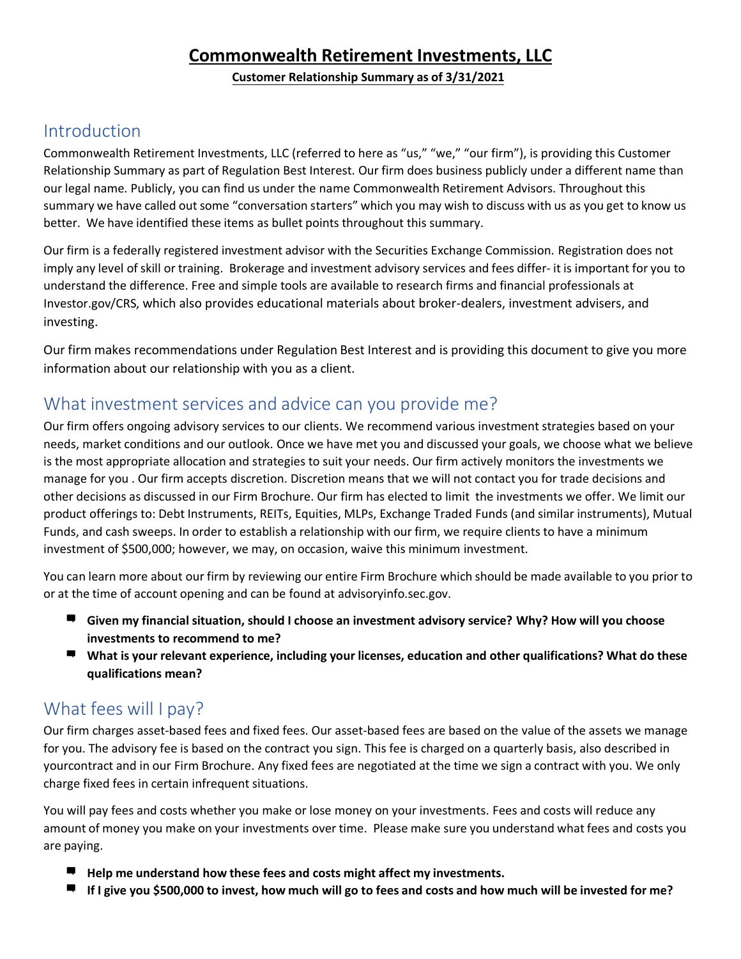### **Commonwealth Retirement Investments, LLC**

**Customer Relationship Summary as of 3/31/2021**

### Introduction

Commonwealth Retirement Investments, LLC (referred to here as "us," "we," "our firm"), is providing this Customer Relationship Summary as part of Regulation Best Interest. Our firm does business publicly under a different name than our legal name. Publicly, you can find us under the name Commonwealth Retirement Advisors. Throughout this summary we have called out some "conversation starters" which you may wish to discuss with us as you get to know us better. We have identified these items as bullet points throughout this summary.

Our firm is a federally registered investment advisor with the Securities Exchange Commission. Registration does not imply any level ofskill or training. Brokerage and investment advisory services and fees differ- it is important for you to understand the difference. Free and simple tools are available to research firms and financial professionals at Investor.gov/CRS, which also provides educational materials about broker-dealers, investment advisers, and investing.

Our firm makes recommendations under Regulation Best Interest and is providing this document to give you more information about our relationship with you as a client.

### What investment services and advice can you provide me?

Our firm offers ongoing advisory services to our clients. We recommend various investment strategies based on your needs, market conditions and our outlook. Once we have met you and discussed your goals, we choose what we believe is the most appropriate allocation and strategies to suit your needs. Our firm actively monitors the investments we manage for you . Our firm accepts discretion. Discretion means that we will not contact you for trade decisions and other decisions as discussed in our Firm Brochure. Our firm has elected to limit the investments we offer. We limit our product offerings to: Debt Instruments, REITs, Equities, MLPs, Exchange Traded Funds (and similar instruments), Mutual Funds, and cash sweeps. In order to establish a relationship with our firm, we require clients to have a minimum investment of \$500,000; however, we may, on occasion, waive this minimum investment.

You can learn more about our firm by reviewing our entire Firm Brochure which should be made available to you prior to or at the time of account opening and can be found at advisoryinfo.sec.gov.

- **Given my financial situation, should I choose an investment advisory service? Why? How will you choose investments to recommend to me?**
- **What is your relevant experience, including your licenses, education and other qualifications? What do these qualifications mean?**

### What fees will I pay?

Our firm charges asset-based fees and fixed fees. Our asset-based fees are based on the value of the assets we manage for you. The advisory fee is based on the contract you sign. This fee is charged on a quarterly basis, also described in yourcontract and in our Firm Brochure. Any fixed fees are negotiated at the time we sign a contract with you. We only charge fixed fees in certain infrequent situations.

You will pay fees and costs whether you make or lose money on your investments. Fees and costs will reduce any amount of money you make on your investments over time. Please make sure you understand what fees and costs you are paying.

- **Help me understand how these fees and costs might affect my investments.**
- **If I give you \$500,000 to invest, how much will go to fees and costs and how much will be invested for me?**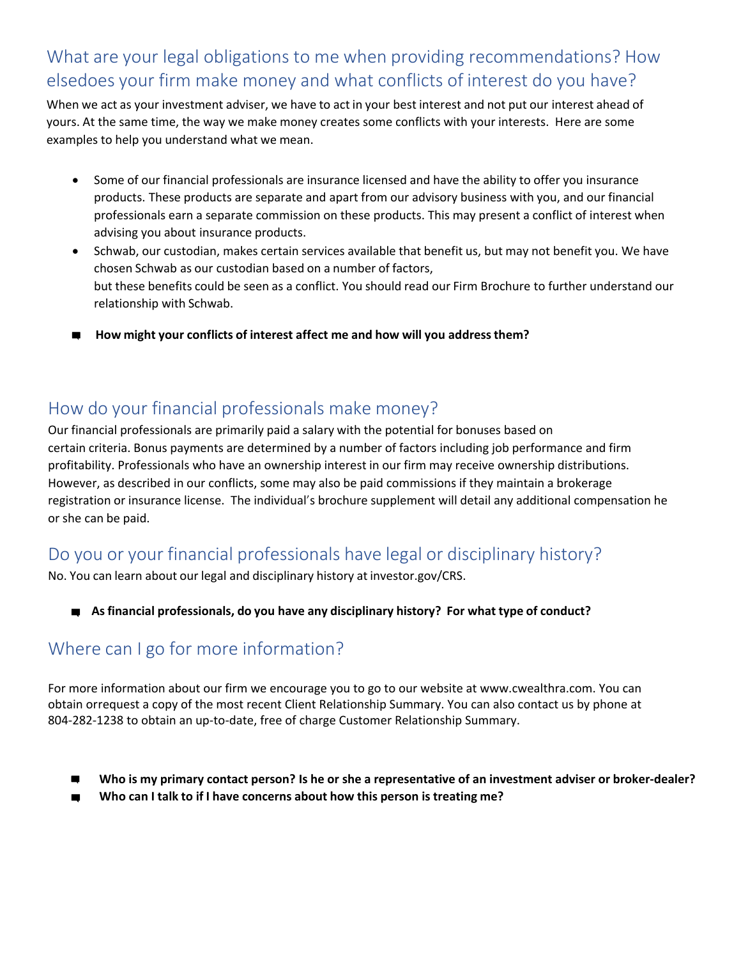## What are your legal obligations to me when providing recommendations? How elsedoes your firm make money and what conflicts of interest do you have?

When we act as your investment adviser, we have to act in your best interest and not put our interest ahead of yours. At the same time, the way we make money creates some conflicts with your interests. Here are some examples to help you understand what we mean.

- Some of our financial professionals are insurance licensed and have the ability to offer you insurance products. These products are separate and apart from our advisory business with you, and our financial professionals earn a separate commission on these products. This may present a conflict of interest when advising you about insurance products.
- Schwab, our custodian, makes certain services available that benefit us, but may not benefit you. We have chosen Schwab as our custodian based on a number of factors, but these benefits could be seen as a conflict. You should read our Firm Brochure to further understand our relationship with Schwab.
- **How might your conflicts of interest affect me and how will you address them?**

### How do your financial professionals make money?

Our financial professionals are primarily paid a salary with the potential for bonuses based on certain criteria. Bonus payments are determined by a number of factors including job performance and firm profitability. Professionals who have an ownership interest in our firm may receive ownership distributions. However, as described in our conflicts, some may also be paid commissions if they maintain a brokerage registration or insurance license. The individual's brochure supplement will detail any additional compensation he or she can be paid.

### Do you or your financial professionals have legal or disciplinary history?

No. You can learn about our legal and disciplinary history at investor.gov/CRS.

**Asfinancial professionals, do you have any disciplinary history? For what type of conduct?**

## Where can I go for more information?

For more information about our firm we encourage you to go to our website at www.cwealthra.com. You can obtain or request a copy of the most recent Client Relationship Summary. You can also c[ontact us by phone at](http://www.cwealthra.com/)  804-282-1238 to obtain an up-to-date, free of charge Customer Relationship Summary.

- **Who is my primary contact person? Is he or she a representative of an investment adviser or broker-dealer?**
- **Who can I talk to if I have concerns about how this person is treating me?**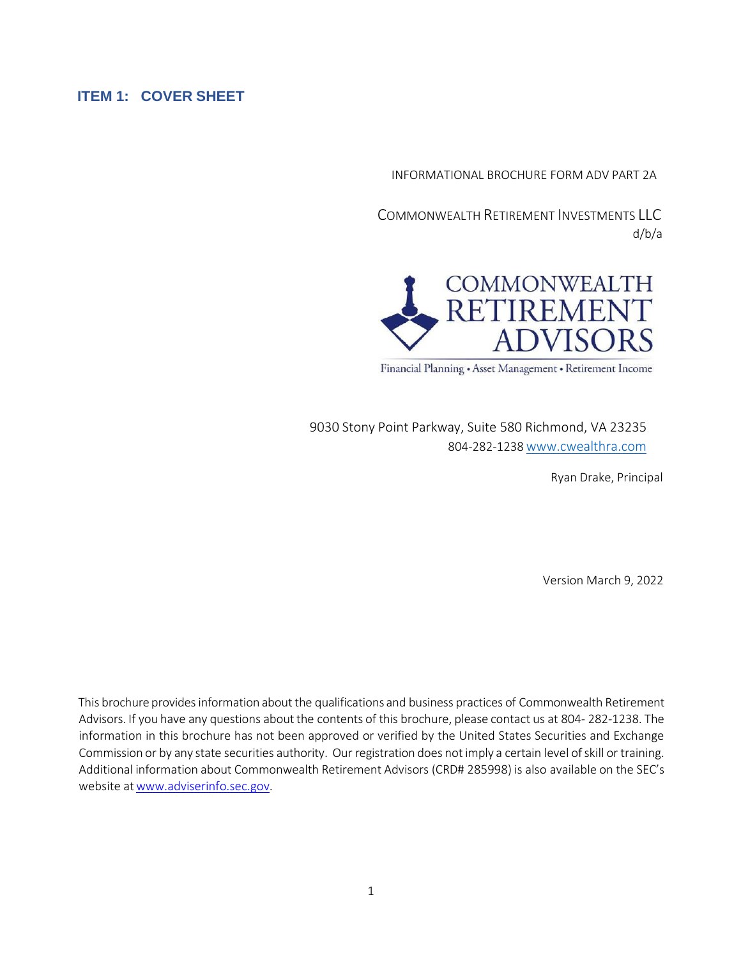#### <span id="page-2-0"></span>**ITEM 1: COVER SHEET**

INFORMATIONAL BROCHURE FORM ADV PART 2A

COMMONWEALTH RETIREMENT INVESTMENTS LLC d/b/a



Financial Planning • Asset Management • Retirement Income

9030 Stony Point Parkway, Suite 580 Richmond, VA 23235 804-282-1238[www.cwealthra.com](http://www.cwealthra.com/)

Ryan Drake, Principal

Version March 9, 2022

This brochure providesinformation about the qualifications and business practices of Commonwealth Retirement Advisors. If you have any questions about the contents of this brochure, please contact us at 804-282-1238. The information in this brochure has not been approved or verified by the United States Securities and Exchange Commission or by any state securities authority. Our registration does not imply a certain level of skill or training. Additional information about Commonwealth Retirement Advisors (CRD# 285998) is also available on the SEC's website at www.adviserinfo.sec.gov.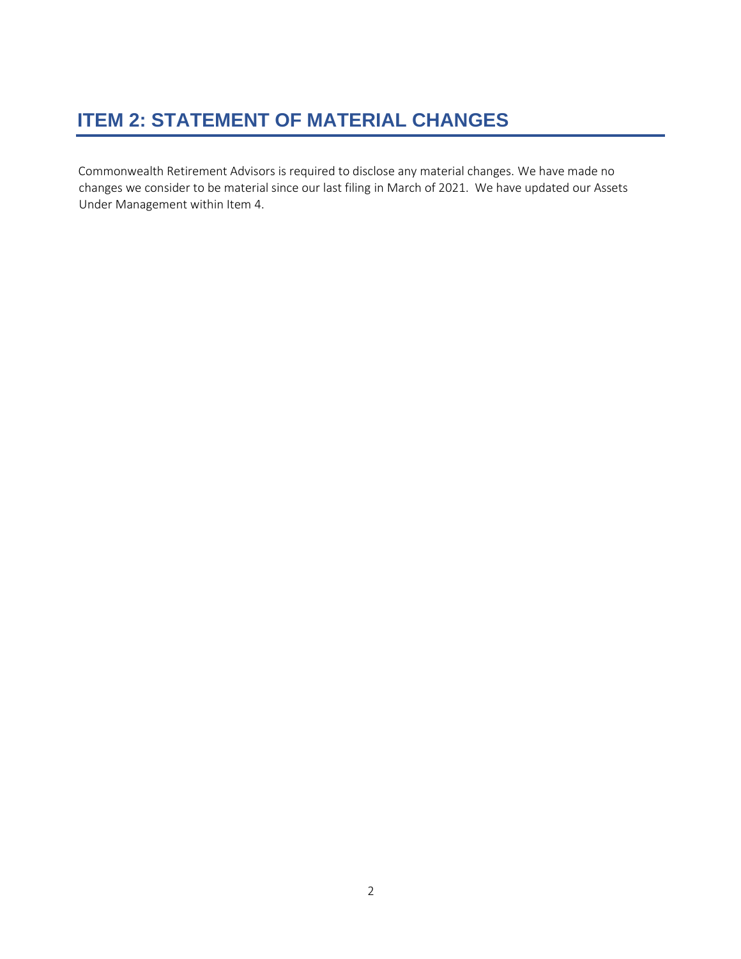# <span id="page-3-0"></span>**ITEM 2: STATEMENT OF MATERIAL CHANGES**

Commonwealth Retirement Advisors is required to disclose any material changes. We have made no changes we consider to be material since our last filing in March of 2021. We have updated our Assets Under Management within Item 4.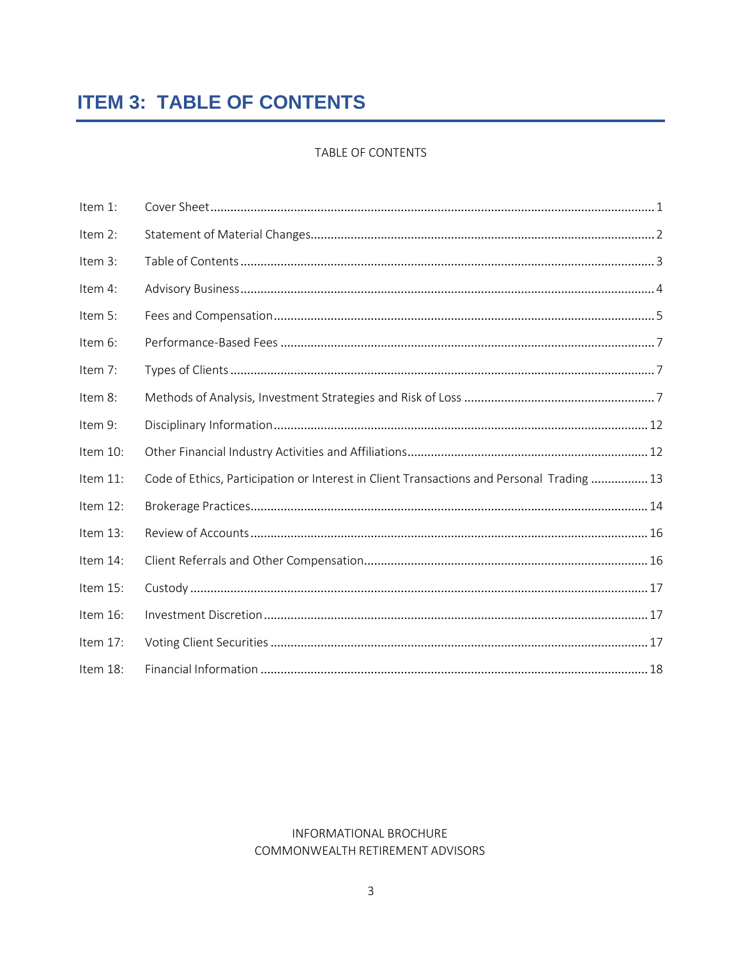# <span id="page-4-0"></span>**ITEM 3: TABLE OF CONTENTS**

#### TABLE OF CONTENTS

| Item 1:     |                                                                                           |  |
|-------------|-------------------------------------------------------------------------------------------|--|
| Item 2:     |                                                                                           |  |
| Item 3:     |                                                                                           |  |
| Item 4:     |                                                                                           |  |
| Item 5:     |                                                                                           |  |
| Item 6:     |                                                                                           |  |
| Item 7:     |                                                                                           |  |
| Item 8:     |                                                                                           |  |
| Item 9:     |                                                                                           |  |
| Item 10:    |                                                                                           |  |
| Item $11$ : | Code of Ethics, Participation or Interest in Client Transactions and Personal Trading  13 |  |
| Item 12:    |                                                                                           |  |
| Item 13:    |                                                                                           |  |
| Item 14:    |                                                                                           |  |
| Item 15:    |                                                                                           |  |
| Item 16:    |                                                                                           |  |
| Item 17:    |                                                                                           |  |
| Item 18:    |                                                                                           |  |

#### INFORMATIONAL BROCHURE COMMONWEALTH RETIREMENT ADVISORS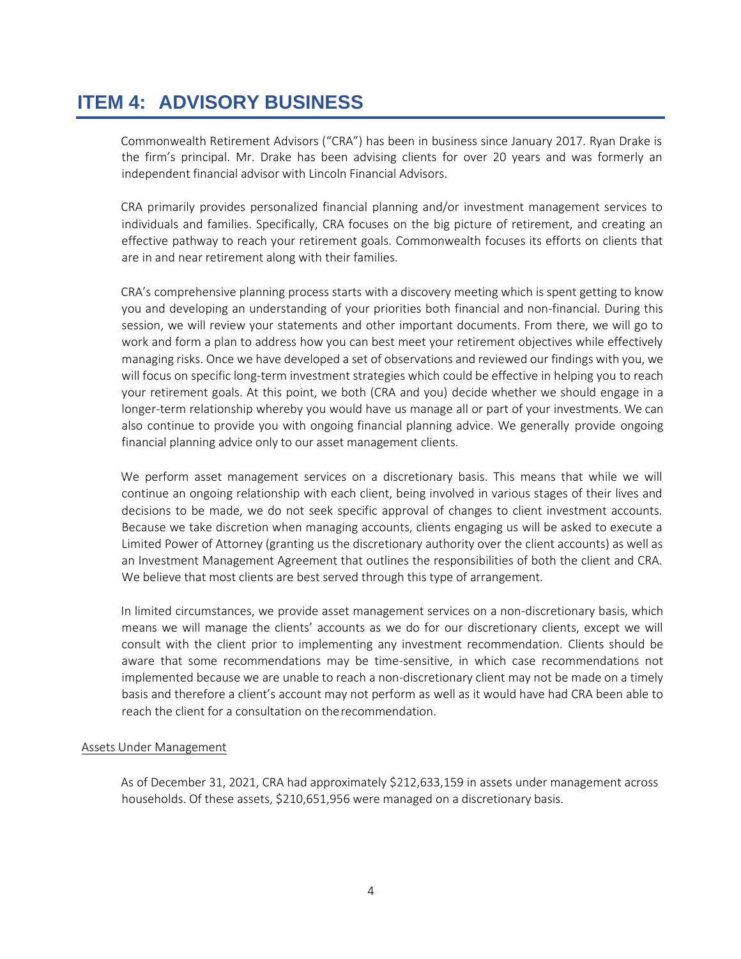## <span id="page-5-0"></span>**ITEM 4: ADVISORY BUSINESS**

Commonwealth Retirement Advisors ("CRA") has been in business since January 2017. Ryan Drake is the firm's principal. Mr. Drake has been advising clients for over 20 years and was formerly an independent financial advisor with Lincoln Financial Advisors.

CRA primarily provides personalized financial planning and/or investment management services to individuals and families. Specifically, CRA focuses on the big picture of retirement, and creating an effective pathway to reach your retirement goals. Commonwealth focuses its efforts on clients that are in and near retirement along with their families.

CRA's comprehensive planning process starts with a discovery meeting which is spent getting to know you and developing an understanding of your priorities both financial and non-financial. During this session, we will review your statements and other important documents. From there, we will go to work and form a plan to address how you can best meet your retirement objectives while effectively managing risks. Once we have developed a set of observations and reviewed our findings with you, we will focus on specific long-term investment strategies which could be effective in helping you to reach your retirement goals. At this point, we both (CRA and you) decide whether we should engage in a longer-term relationship whereby you would have us manage all or part of your investments. We can also continue to provide you with ongoing financial planning advice. We generally provide ongoing financial planning advice only to our asset management clients.

We perform asset management services on a discretionary basis. This means that while we will continue an ongoing relationship with each client, being involved in various stages of their lives and decisions to be made, we do not seek specific approval of changes to client investment accounts. Because we take discretion when managing accounts, clients engaging us will be asked to execute a Limited Power of Attorney (granting us the discretionary authority over the client accounts) as well as an Investment Management Agreement that outlines the responsibilities of both the client and CRA. We believe that most clients are best served through this type of arrangement.

In limited circumstances, we provide asset management services on a non-discretionary basis, which means we will manage the clients' accounts as we do for our discretionary clients, except we will consult with the client prior to implementing any investment recommendation. Clients should be aware that some recommendations may be time-sensitive, in which case recommendations not implemented because we are unable to reach a non-discretionary client may not be made on a timely basis and therefore a client's account may not perform as well as it would have had CRA been able to reach the client for a consultation on therecommendation.

#### Assets Under Management

As of December 31, 2021, CRA had approximately \$212,633,159 in assets under management across households. Of these assets, \$210,651,956 were managed on a discretionary basis.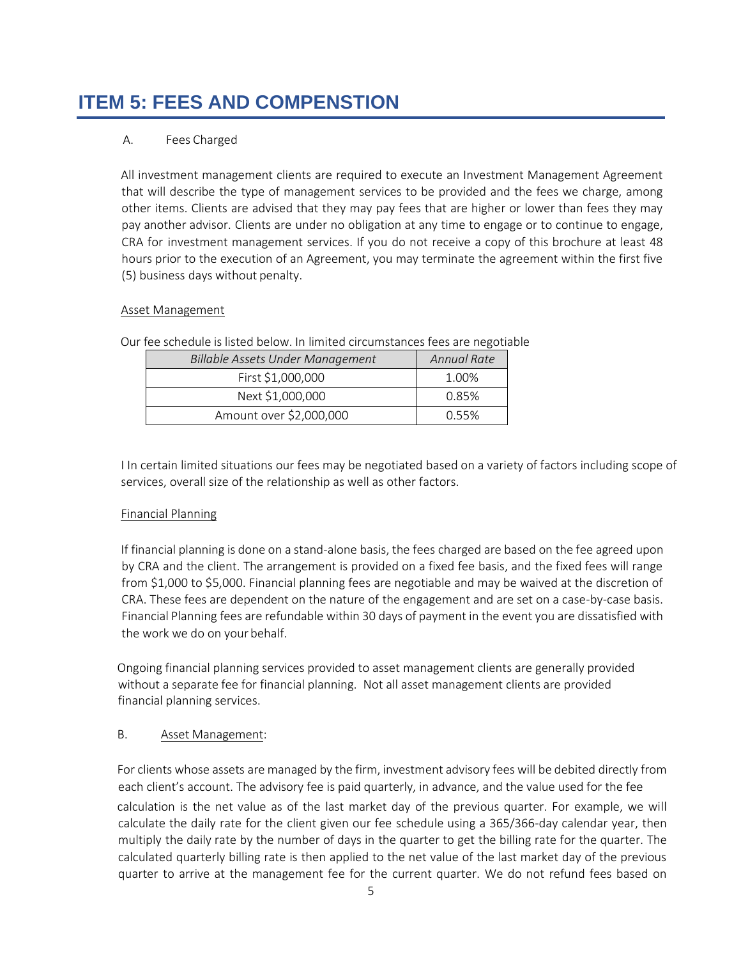# <span id="page-6-0"></span>**ITEM 5: FEES AND COMPENSTION**

#### A. Fees Charged

All investment management clients are required to execute an Investment Management Agreement that will describe the type of management services to be provided and the fees we charge, among other items. Clients are advised that they may pay fees that are higher or lower than fees they may pay another advisor. Clients are under no obligation at any time to engage or to continue to engage, CRA for investment management services. If you do not receive a copy of this brochure at least 48 hours prior to the execution of an Agreement, you may terminate the agreement within the first five (5) business days without penalty.

#### Asset Management

| Billable Assets Under Management | Annual Rate |
|----------------------------------|-------------|
| First \$1,000,000                | 1.00%       |
| Next \$1,000,000                 | 0.85%       |
| Amount over \$2,000,000          | 0.55%       |

Our fee schedule is listed below. In limited circumstances fees are negotiable

I In certain limited situations our fees may be negotiated based on a variety of factors including scope of services, overall size of the relationship as well as other factors.

#### Financial Planning

If financial planning is done on a stand-alone basis, the fees charged are based on the fee agreed upon by CRA and the client. The arrangement is provided on a fixed fee basis, and the fixed fees will range from \$1,000 to \$5,000. Financial planning fees are negotiable and may be waived at the discretion of CRA. These fees are dependent on the nature of the engagement and are set on a case-by-case basis. Financial Planning fees are refundable within 30 days of payment in the event you are dissatisfied with the work we do on your behalf.

Ongoing financial planning services provided to asset management clients are generally provided without a separate fee for financial planning. Not all asset management clients are provided financial planning services.

#### B. Asset Management:

For clients whose assets are managed by the firm, investment advisory fees will be debited directly from each client's account. The advisory fee is paid quarterly, in advance, and the value used for the fee calculation is the net value as of the last market day of the previous quarter. For example, we will calculate the daily rate for the client given our fee schedule using a 365/366-day calendar year, then multiply the daily rate by the number of days in the quarter to get the billing rate for the quarter. The calculated quarterly billing rate is then applied to the net value of the last market day of the previous quarter to arrive at the management fee for the current quarter. We do not refund fees based on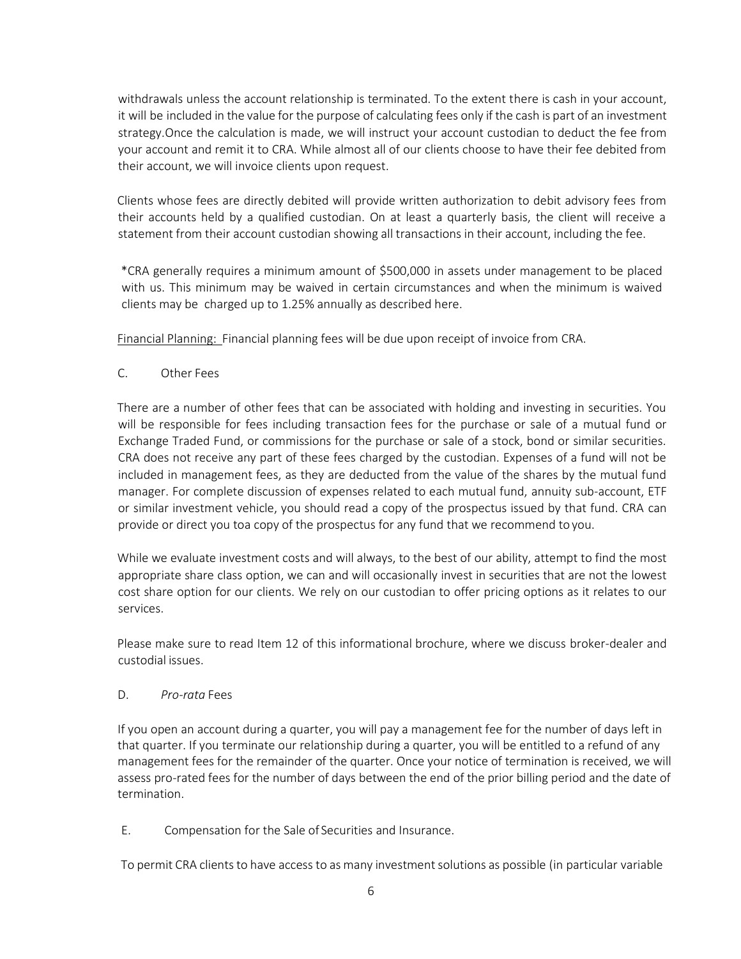withdrawals unless the account relationship is terminated. To the extent there is cash in your account, it will be included in the value for the purpose of calculating fees only if the cash is part of an investment strategy.Once the calculation is made, we will instruct your account custodian to deduct the fee from your account and remit it to CRA. While almost all of our clients choose to have their fee debited from their account, we will invoice clients upon request.

Clients whose fees are directly debited will provide written authorization to debit advisory fees from their accounts held by a qualified custodian. On at least a quarterly basis, the client will receive a statement from their account custodian showing all transactions in their account, including the fee.

\*CRA generally requires a minimum amount of \$500,000 in assets under management to be placed with us. This minimum may be waived in certain circumstances and when the minimum is waived clients may be charged up to 1.25% annually as described here.

Financial Planning: Financial planning fees will be due upon receipt of invoice from CRA.

C. Other Fees

There are a number of other fees that can be associated with holding and investing in securities. You will be responsible for fees including transaction fees for the purchase or sale of a mutual fund or Exchange Traded Fund, or commissions for the purchase or sale of a stock, bond or similar securities. CRA does not receive any part of these fees charged by the custodian. Expenses of a fund will not be included in management fees, as they are deducted from the value of the shares by the mutual fund manager. For complete discussion of expenses related to each mutual fund, annuity sub-account, ETF or similar investment vehicle, you should read a copy of the prospectus issued by that fund. CRA can provide or direct you toa copy of the prospectus for any fund that we recommend to you.

While we evaluate investment costs and will always, to the best of our ability, attempt to find the most appropriate share class option, we can and will occasionally invest in securities that are not the lowest cost share option for our clients. We rely on our custodian to offer pricing options as it relates to our services.

Please make sure to read Item 12 of this informational brochure, where we discuss broker-dealer and custodial issues.

#### D. *Pro-rata* Fees

If you open an account during a quarter, you will pay a management fee for the number of days left in that quarter. If you terminate our relationship during a quarter, you will be entitled to a refund of any management fees for the remainder of the quarter. Once your notice of termination is received, we will assess pro-rated fees for the number of days between the end of the prior billing period and the date of termination.

E. Compensation for the Sale of Securities and Insurance.

To permit CRA clients to have access to as many investment solutions as possible (in particular variable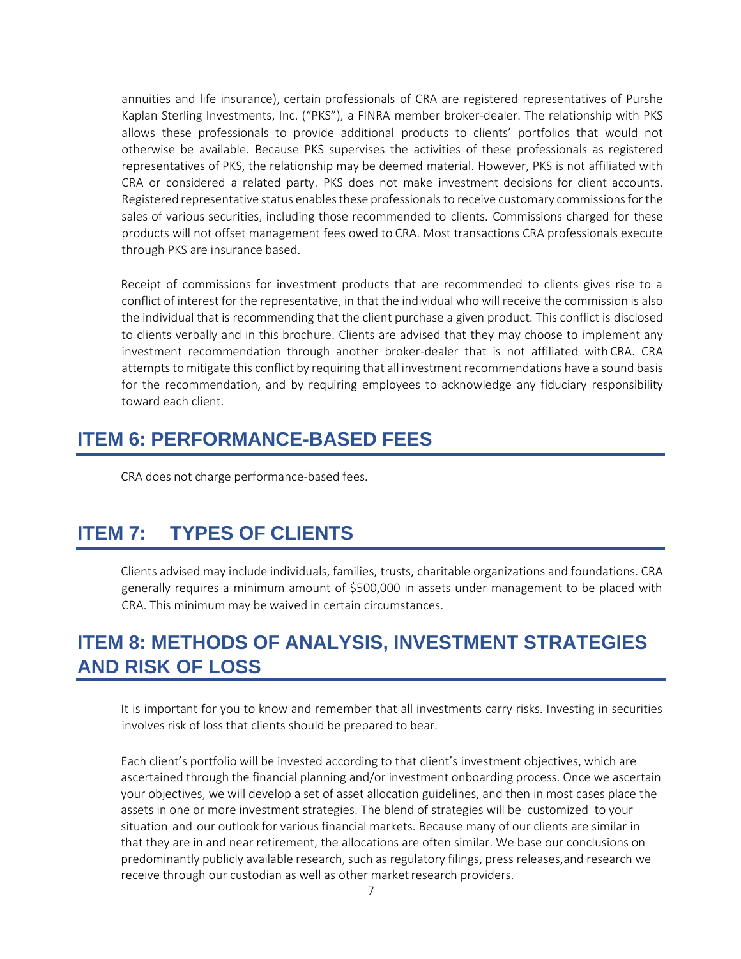annuities and life insurance), certain professionals of CRA are registered representatives of Purshe Kaplan Sterling Investments, Inc. ("PKS"), a FINRA member broker-dealer. The relationship with PKS allows these professionals to provide additional products to clients' portfolios that would not otherwise be available. Because PKS supervises the activities of these professionals as registered representatives of PKS, the relationship may be deemed material. However, PKS is not affiliated with CRA or considered a related party. PKS does not make investment decisions for client accounts. Registered representative status enables these professionals to receive customary commissions for the sales of various securities, including those recommended to clients. Commissions charged for these products will not offset management fees owed to CRA. Most transactions CRA professionals execute through PKS are insurance based.

Receipt of commissions for investment products that are recommended to clients gives rise to a conflict of interest for the representative, in that the individual who will receive the commission is also the individual that is recommending that the client purchase a given product. This conflict is disclosed to clients verbally and in this brochure. Clients are advised that they may choose to implement any investment recommendation through another broker-dealer that is not affiliated with CRA. CRA attempts to mitigate this conflict by requiring that all investment recommendations have a sound basis for the recommendation, and by requiring employees to acknowledge any fiduciary responsibility toward each client.

### <span id="page-8-0"></span>**ITEM 6: PERFORMANCE-BASED FEES**

CRA does not charge performance-based fees.

# <span id="page-8-1"></span>**ITEM 7: TYPES OF CLIENTS**

Clients advised may include individuals, families, trusts, charitable organizations and foundations. CRA generally requires a minimum amount of \$500,000 in assets under management to be placed with CRA. This minimum may be waived in certain circumstances.

## <span id="page-8-2"></span>**ITEM 8: METHODS OF ANALYSIS, INVESTMENT STRATEGIES AND RISK OF LOSS**

It is important for you to know and remember that all investments carry risks. Investing in securities involves risk of loss that clients should be prepared to bear.

Each client's portfolio will be invested according to that client's investment objectives, which are ascertained through the financial planning and/or investment onboarding process. Once we ascertain your objectives, we will develop a set of asset allocation guidelines, and then in most cases place the assets in one or more investment strategies. The blend of strategies will be customized to your situation and our outlook for various financial markets. Because many of our clients are similar in that they are in and near retirement, the allocations are often similar. We base our conclusions on predominantly publicly available research, such as regulatory filings, press releases,and research we receive through our custodian as well as other market research providers.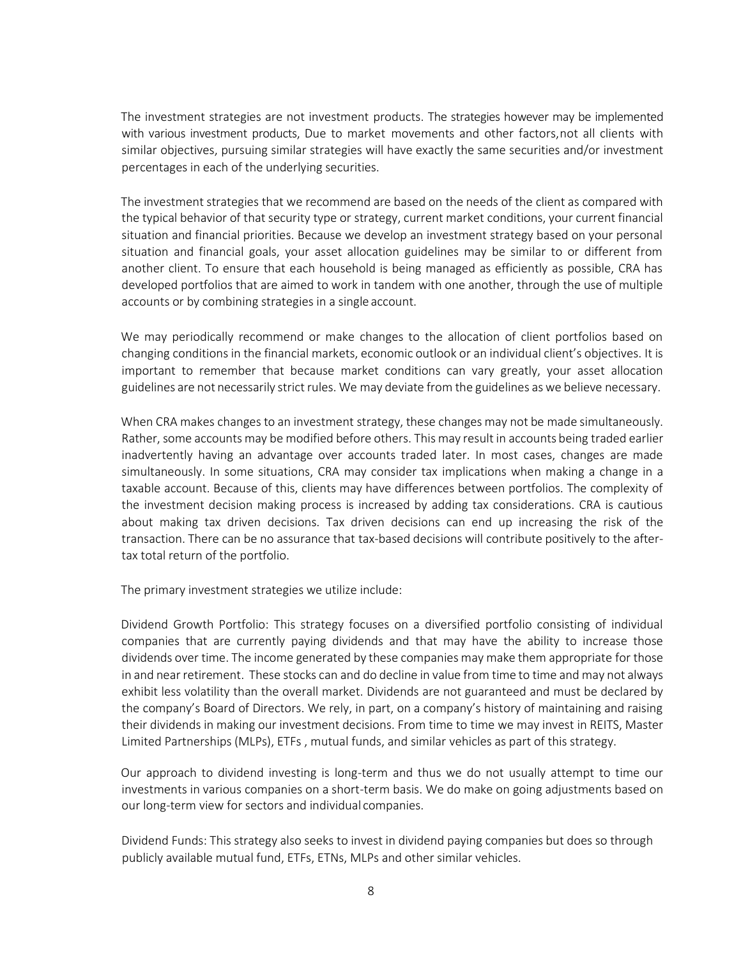The investment strategies are not investment products. The strategies however may be implemented with various investment products, Due to market movements and other factors,not all clients with similar objectives, pursuing similar strategies will have exactly the same securities and/or investment percentages in each of the underlying securities.

The investment strategies that we recommend are based on the needs of the client as compared with the typical behavior of that security type or strategy, current market conditions, your current financial situation and financial priorities. Because we develop an investment strategy based on your personal situation and financial goals, your asset allocation guidelines may be similar to or different from another client. To ensure that each household is being managed as efficiently as possible, CRA has developed portfolios that are aimed to work in tandem with one another, through the use of multiple accounts or by combining strategies in a single account.

We may periodically recommend or make changes to the allocation of client portfolios based on changing conditions in the financial markets, economic outlook or an individual client's objectives. It is important to remember that because market conditions can vary greatly, your asset allocation guidelines are not necessarily strict rules. We may deviate from the guidelines as we believe necessary.

When CRA makes changes to an investment strategy, these changes may not be made simultaneously. Rather, some accounts may be modified before others. This may result in accounts being traded earlier inadvertently having an advantage over accounts traded later. In most cases, changes are made simultaneously. In some situations, CRA may consider tax implications when making a change in a taxable account. Because of this, clients may have differences between portfolios. The complexity of the investment decision making process is increased by adding tax considerations. CRA is cautious about making tax driven decisions. Tax driven decisions can end up increasing the risk of the transaction. There can be no assurance that tax-based decisions will contribute positively to the aftertax total return of the portfolio.

The primary investment strategies we utilize include:

Dividend Growth Portfolio: This strategy focuses on a diversified portfolio consisting of individual companies that are currently paying dividends and that may have the ability to increase those dividends over time. The income generated by these companies may make them appropriate for those in and nearretirement. These stocks can and do decline in value from time to time and may not always exhibit less volatility than the overall market. Dividends are not guaranteed and must be declared by the company's Board of Directors. We rely, in part, on a company's history of maintaining and raising their dividends in making our investment decisions. From time to time we may invest in REITS, Master Limited Partnerships (MLPs), ETFs , mutual funds, and similar vehicles as part of this strategy.

Our approach to dividend investing is long-term and thus we do not usually attempt to time our investments in various companies on a short-term basis. We do make on going adjustments based on our long-term view for sectors and individual companies.

Dividend Funds: This strategy also seeks to invest in dividend paying companies but does so through publicly available mutual fund, ETFs, ETNs, MLPs and other similar vehicles.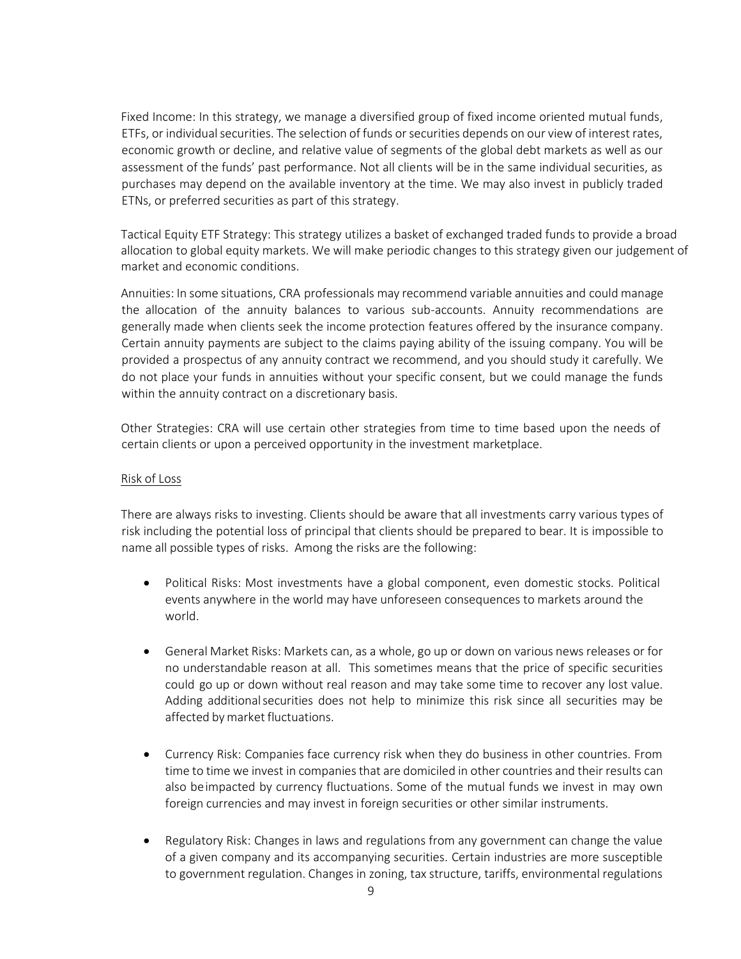Fixed Income: In this strategy, we manage a diversified group of fixed income oriented mutual funds, ETFs, or individual securities. The selection of funds or securities depends on our view of interest rates, economic growth or decline, and relative value of segments of the global debt markets as well as our assessment of the funds' past performance. Not all clients will be in the same individual securities, as purchases may depend on the available inventory at the time. We may also invest in publicly traded ETNs, or preferred securities as part of this strategy.

Tactical Equity ETF Strategy: This strategy utilizes a basket of exchanged traded funds to provide a broad allocation to global equity markets. We will make periodic changes to this strategy given our judgement of market and economic conditions.

Annuities: In some situations, CRA professionals may recommend variable annuities and could manage the allocation of the annuity balances to various sub-accounts. Annuity recommendations are generally made when clients seek the income protection features offered by the insurance company. Certain annuity payments are subject to the claims paying ability of the issuing company. You will be provided a prospectus of any annuity contract we recommend, and you should study it carefully. We do not place your funds in annuities without your specific consent, but we could manage the funds within the annuity contract on a discretionary basis.

Other Strategies: CRA will use certain other strategies from time to time based upon the needs of certain clients or upon a perceived opportunity in the investment marketplace.

#### Risk of Loss

There are always risks to investing. Clients should be aware that all investments carry various types of risk including the potential loss of principal that clients should be prepared to bear. It is impossible to name all possible types of risks. Among the risks are the following:

- Political Risks: Most investments have a global component, even domestic stocks. Political events anywhere in the world may have unforeseen consequences to markets around the world.
- General Market Risks: Markets can, as a whole, go up or down on various news releases or for no understandable reason at all. This sometimes means that the price of specific securities could go up or down without real reason and may take some time to recover any lost value. Adding additionalsecurities does not help to minimize this risk since all securities may be affected bymarket fluctuations.
- Currency Risk: Companies face currency risk when they do business in other countries. From time to time we invest in companies that are domiciled in other countries and their results can also be impacted by currency fluctuations. Some of the mutual funds we invest in may own foreign currencies and may invest in foreign securities or other similar instruments.
- Regulatory Risk: Changes in laws and regulations from any government can change the value of a given company and its accompanying securities. Certain industries are more susceptible to government regulation. Changes in zoning, tax structure, tariffs, environmental regulations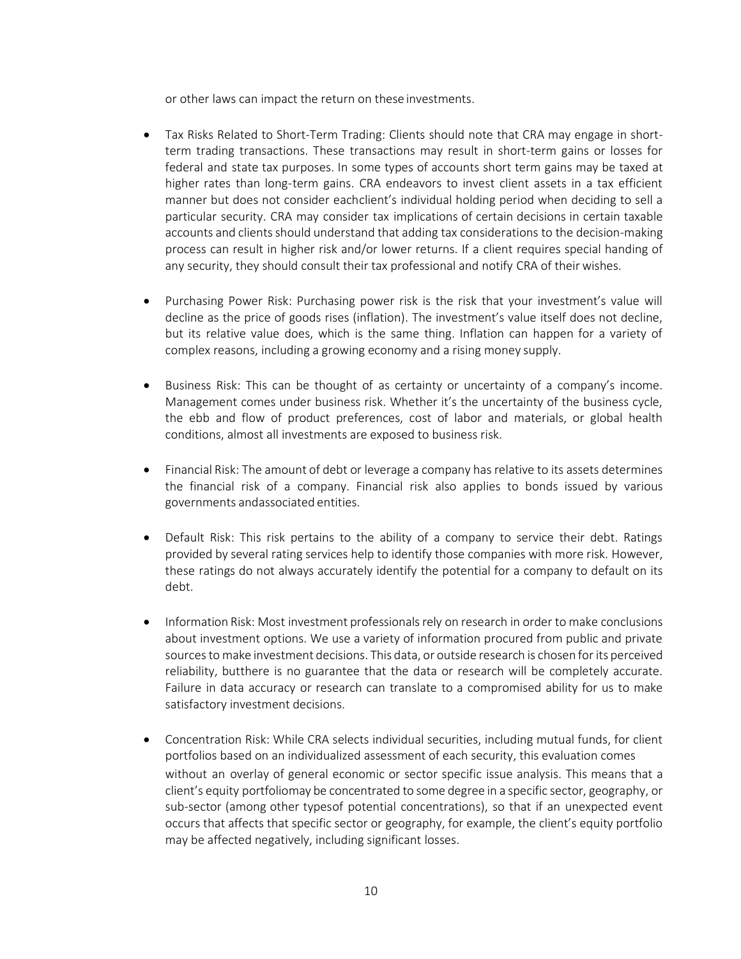or other laws can impact the return on these investments.

- Tax Risks Related to Short-Term Trading: Clients should note that CRA may engage in shortterm trading transactions. These transactions may result in short-term gains or losses for federal and state tax purposes. In some types of accounts short term gains may be taxed at higher rates than long-term gains. CRA endeavors to invest client assets in a tax efficient manner but does not consider eachclient's individual holding period when deciding to sell a particular security. CRA may consider tax implications of certain decisions in certain taxable accounts and clients should understand that adding tax considerations to the decision-making process can result in higher risk and/or lower returns. If a client requires special handing of any security, they should consult their tax professional and notify CRA of their wishes.
- Purchasing Power Risk: Purchasing power risk is the risk that your investment's value will decline as the price of goods rises (inflation). The investment's value itself does not decline, but its relative value does, which is the same thing. Inflation can happen for a variety of complex reasons, including a growing economy and a rising money supply.
- Business Risk: This can be thought of as certainty or uncertainty of a company's income. Management comes under business risk. Whether it's the uncertainty of the business cycle, the ebb and flow of product preferences, cost of labor and materials, or global health conditions, almost all investments are exposed to business risk.
- Financial Risk: The amount of debt or leverage a company has relative to its assets determines the financial risk of a company. Financial risk also applies to bonds issued by various governments andassociated entities.
- Default Risk: This risk pertains to the ability of a company to service their debt. Ratings provided by several rating services help to identify those companies with more risk. However, these ratings do not always accurately identify the potential for a company to default on its debt.
- Information Risk: Most investment professionals rely on research in order to make conclusions about investment options. We use a variety of information procured from public and private sourcesto make investment decisions. This data, or outside research is chosen forits perceived reliability, butthere is no guarantee that the data or research will be completely accurate. Failure in data accuracy or research can translate to a compromised ability for us to make satisfactory investment decisions.
- Concentration Risk: While CRA selects individual securities, including mutual funds, for client portfolios based on an individualized assessment of each security, this evaluation comes without an overlay of general economic or sector specific issue analysis. This means that a client's equity portfoliomay be concentrated to some degree in a specific sector, geography, or sub-sector (among other typesof potential concentrations), so that if an unexpected event occurs that affects that specific sector or geography, for example, the client's equity portfolio may be affected negatively, including significant losses.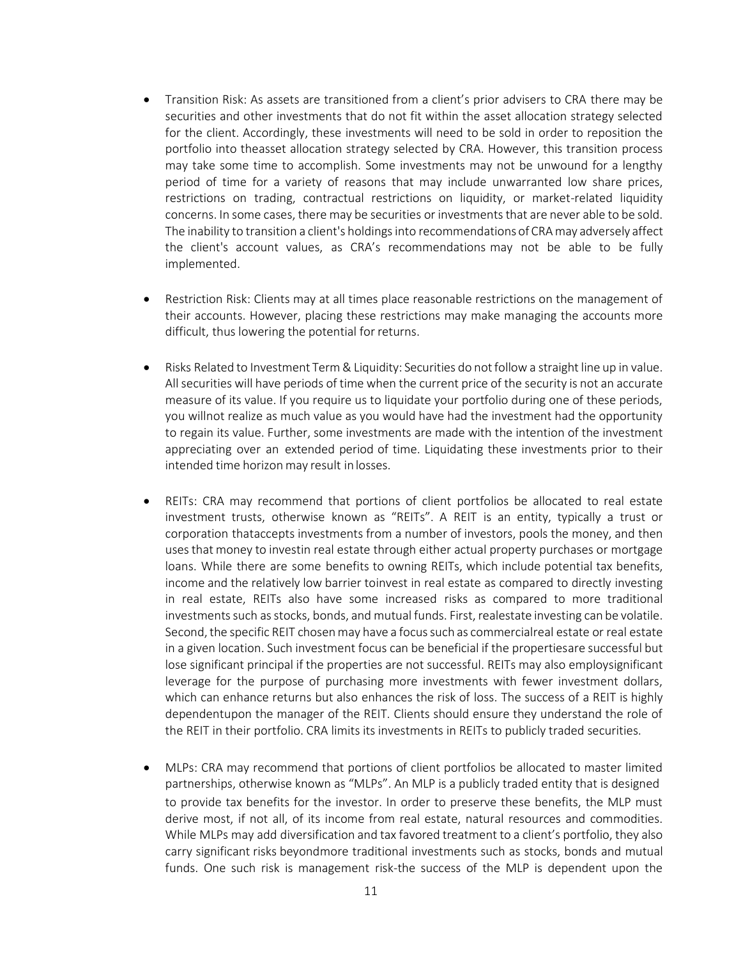- Transition Risk: As assets are transitioned from a client's prior advisers to CRA there may be securities and other investments that do not fit within the asset allocation strategy selected for the client. Accordingly, these investments will need to be sold in order to reposition the portfolio into theasset allocation strategy selected by CRA. However, this transition process may take some time to accomplish. Some investments may not be unwound for a lengthy period of time for a variety of reasons that may include unwarranted low share prices, restrictions on trading, contractual restrictions on liquidity, or market-related liquidity concerns. In some cases, there may be securities or investments that are never able to be sold. The inability to transition a client's holdings into recommendations of CRAmay adversely affect the client's account values, as CRA's recommendations may not be able to be fully implemented.
- Restriction Risk: Clients may at all times place reasonable restrictions on the management of their accounts. However, placing these restrictions may make managing the accounts more difficult, thus lowering the potential for returns.
- Risks Related to Investment Term& Liquidity: Securities do notfollow a straight line up in value. All securities will have periods of time when the current price of the security is not an accurate measure of its value. If you require us to liquidate your portfolio during one of these periods, you willnot realize as much value as you would have had the investment had the opportunity to regain its value. Further, some investments are made with the intention of the investment appreciating over an extended period of time. Liquidating these investments prior to their intended time horizon may result in losses.
- REITs: CRA may recommend that portions of client portfolios be allocated to real estate investment trusts, otherwise known as "REITs". A REIT is an entity, typically a trust or corporation thataccepts investments from a number of investors, pools the money, and then usesthat money to investin real estate through either actual property purchases or mortgage loans. While there are some benefits to owning REITs, which include potential tax benefits, income and the relatively low barrier toinvest in real estate as compared to directly investing in real estate, REITs also have some increased risks as compared to more traditional investments such as stocks, bonds, and mutual funds. First, realestate investing can be volatile. Second, the specific REIT chosen may have a focus such as commercialreal estate or real estate in a given location. Such investment focus can be beneficial if the propertiesare successful but lose significant principal if the properties are not successful. REITs may also employsignificant leverage for the purpose of purchasing more investments with fewer investment dollars, which can enhance returns but also enhances the risk of loss. The success of a REIT is highly dependentupon the manager of the REIT. Clients should ensure they understand the role of the REIT in their portfolio. CRA limits its investments in REITs to publicly traded securities.
- MLPs: CRA may recommend that portions of client portfolios be allocated to master limited partnerships, otherwise known as "MLPs". An MLP is a publicly traded entity that is designed to provide tax benefits for the investor. In order to preserve these benefits, the MLP must derive most, if not all, of its income from real estate, natural resources and commodities. While MLPs may add diversification and tax favored treatment to a client's portfolio, they also carry significant risks beyondmore traditional investments such as stocks, bonds and mutual funds. One such risk is management risk-the success of the MLP is dependent upon the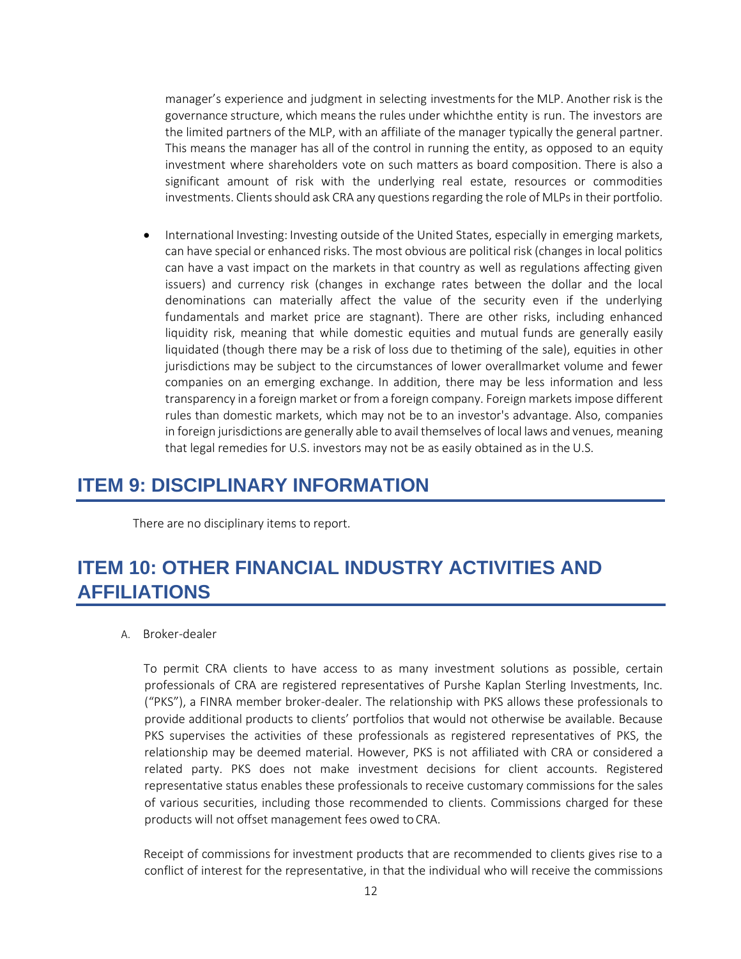manager's experience and judgment in selecting investmentsfor the MLP. Another risk is the governance structure, which means the rules under whichthe entity is run. The investors are the limited partners of the MLP, with an affiliate of the manager typically the general partner. This means the manager has all of the control in running the entity, as opposed to an equity investment where shareholders vote on such matters as board composition. There is also a significant amount of risk with the underlying real estate, resources or commodities investments. Clients should ask CRA any questions regarding the role of MLPs in their portfolio.

• International Investing: Investing outside of the United States, especially in emerging markets, can have special or enhanced risks. The most obvious are political risk (changes in local politics can have a vast impact on the markets in that country as well as regulations affecting given issuers) and currency risk (changes in exchange rates between the dollar and the local denominations can materially affect the value of the security even if the underlying fundamentals and market price are stagnant). There are other risks, including enhanced liquidity risk, meaning that while domestic equities and mutual funds are generally easily liquidated (though there may be a risk of loss due to thetiming of the sale), equities in other jurisdictions may be subject to the circumstances of lower overallmarket volume and fewer companies on an emerging exchange. In addition, there may be less information and less transparency in a foreign market or from a foreign company. Foreign markets impose different rules than domestic markets, which may not be to an investor's advantage. Also, companies in foreign jurisdictions are generally able to avail themselves of local laws and venues, meaning that legal remedies for U.S. investors may not be as easily obtained as in the U.S.

### <span id="page-13-0"></span>**ITEM 9: DISCIPLINARY INFORMATION**

There are no disciplinary items to report.

## <span id="page-13-1"></span>**ITEM 10: OTHER FINANCIAL INDUSTRY ACTIVITIES AND AFFILIATIONS**

#### A. Broker-dealer

To permit CRA clients to have access to as many investment solutions as possible, certain professionals of CRA are registered representatives of Purshe Kaplan Sterling Investments, Inc. ("PKS"), a FINRA member broker-dealer. The relationship with PKS allows these professionals to provide additional products to clients' portfolios that would not otherwise be available. Because PKS supervises the activities of these professionals as registered representatives of PKS, the relationship may be deemed material. However, PKS is not affiliated with CRA or considered a related party. PKS does not make investment decisions for client accounts. Registered representative status enables these professionals to receive customary commissions for the sales of various securities, including those recommended to clients. Commissions charged for these products will not offset management fees owed toCRA.

Receipt of commissions for investment products that are recommended to clients gives rise to a conflict of interest for the representative, in that the individual who will receive the commissions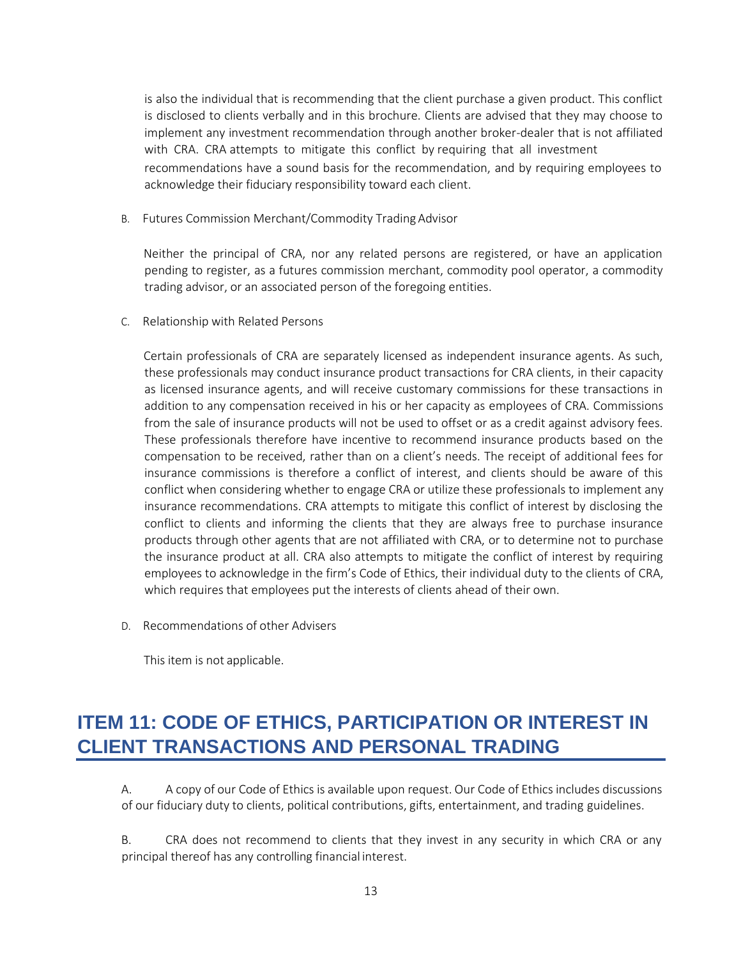is also the individual that is recommending that the client purchase a given product. This conflict is disclosed to clients verbally and in this brochure. Clients are advised that they may choose to implement any investment recommendation through another broker-dealer that is not affiliated with CRA. CRA attempts to mitigate this conflict by requiring that all investment recommendations have a sound basis for the recommendation, and by requiring employees to acknowledge their fiduciary responsibility toward each client.

B. Futures Commission Merchant/Commodity Trading Advisor

Neither the principal of CRA, nor any related persons are registered, or have an application pending to register, as a futures commission merchant, commodity pool operator, a commodity trading advisor, or an associated person of the foregoing entities.

C. Relationship with Related Persons

Certain professionals of CRA are separately licensed as independent insurance agents. As such, these professionals may conduct insurance product transactions for CRA clients, in their capacity as licensed insurance agents, and will receive customary commissions for these transactions in addition to any compensation received in his or her capacity as employees of CRA. Commissions from the sale of insurance products will not be used to offset or as a credit against advisory fees. These professionals therefore have incentive to recommend insurance products based on the compensation to be received, rather than on a client's needs. The receipt of additional fees for insurance commissions is therefore a conflict of interest, and clients should be aware of this conflict when considering whether to engage CRA or utilize these professionals to implement any insurance recommendations. CRA attempts to mitigate this conflict of interest by disclosing the conflict to clients and informing the clients that they are always free to purchase insurance products through other agents that are not affiliated with CRA, or to determine not to purchase the insurance product at all. CRA also attempts to mitigate the conflict of interest by requiring employees to acknowledge in the firm's Code of Ethics, their individual duty to the clients of CRA, which requires that employees put the interests of clients ahead of their own.

D. Recommendations of other Advisers

<span id="page-14-0"></span>This item is not applicable.

# **ITEM 11: CODE OF ETHICS, PARTICIPATION OR INTEREST IN CLIENT TRANSACTIONS AND PERSONAL TRADING**

A. A copy of our Code of Ethics is available upon request. Our Code of Ethics includes discussions of our fiduciary duty to clients, political contributions, gifts, entertainment, and trading guidelines.

B. CRA does not recommend to clients that they invest in any security in which CRA or any principal thereof has any controlling financial interest.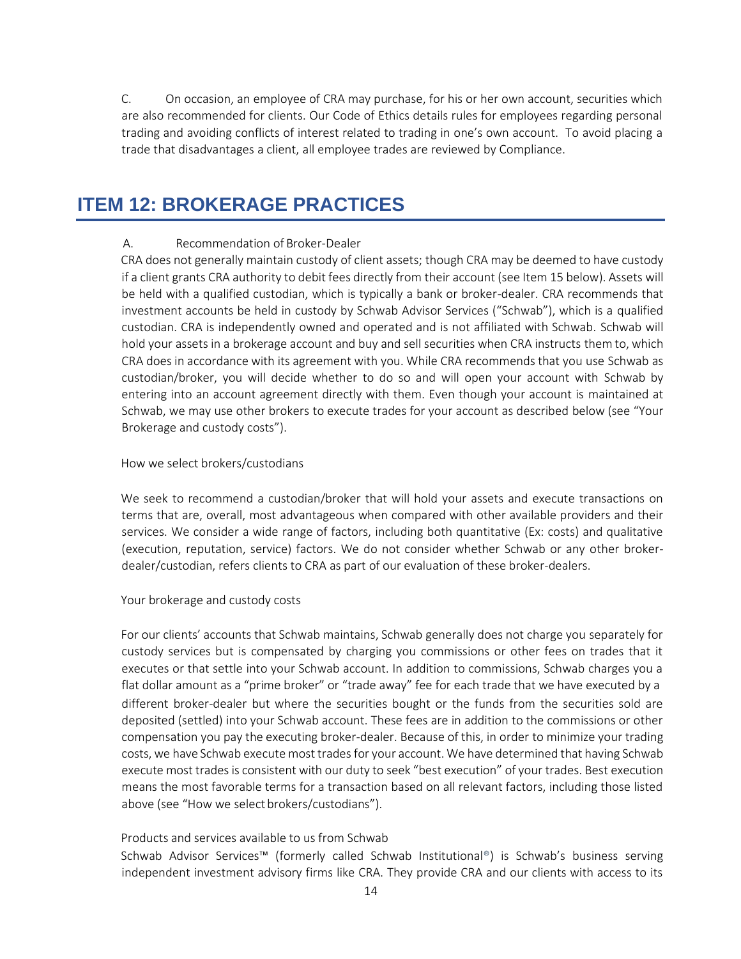C. On occasion, an employee of CRA may purchase, for his or her own account, securities which are also recommended for clients. Our Code of Ethics details rules for employees regarding personal trading and avoiding conflicts of interest related to trading in one's own account. To avoid placing a trade that disadvantages a client, all employee trades are reviewed by Compliance.

### <span id="page-15-0"></span>**ITEM 12: BROKERAGE PRACTICES**

#### A. Recommendation of Broker-Dealer

CRA does not generally maintain custody of client assets; though CRA may be deemed to have custody if a client grants CRA authority to debit fees directly from their account (see Item 15 below). Assets will be held with a qualified custodian, which is typically a bank or broker-dealer. CRA recommends that investment accounts be held in custody by Schwab Advisor Services ("Schwab"), which is a qualified custodian. CRA is independently owned and operated and is not affiliated with Schwab. Schwab will hold your assets in a brokerage account and buy and sell securities when CRA instructs them to, which CRA does in accordance with its agreement with you. While CRA recommends that you use Schwab as custodian/broker, you will decide whether to do so and will open your account with Schwab by entering into an account agreement directly with them. Even though your account is maintained at Schwab, we may use other brokers to execute trades for your account as described below (see "Your Brokerage and custody costs").

#### How we select brokers/custodians

We seek to recommend a custodian/broker that will hold your assets and execute transactions on terms that are, overall, most advantageous when compared with other available providers and their services. We consider a wide range of factors, including both quantitative (Ex: costs) and qualitative (execution, reputation, service) factors. We do not consider whether Schwab or any other brokerdealer/custodian, refers clients to CRA as part of our evaluation of these broker-dealers.

#### Your brokerage and custody costs

For our clients' accounts that Schwab maintains, Schwab generally does not charge you separately for custody services but is compensated by charging you commissions or other fees on trades that it executes or that settle into your Schwab account. In addition to commissions, Schwab charges you a flat dollar amount as a "prime broker" or "trade away" fee for each trade that we have executed by a different broker-dealer but where the securities bought or the funds from the securities sold are deposited (settled) into your Schwab account. These fees are in addition to the commissions or other compensation you pay the executing broker-dealer. Because of this, in order to minimize your trading costs, we have Schwab execute mosttradesfor your account. We have determined that having Schwab execute most trades is consistent with our duty to seek "best execution" of your trades. Best execution means the most favorable terms for a transaction based on all relevant factors, including those listed above (see "How we selectbrokers/custodians").

#### Products and services available to us from Schwab

Schwab Advisor Services™ (formerly called Schwab Institutional®) is Schwab's business serving independent investment advisory firms like CRA. They provide CRA and our clients with access to its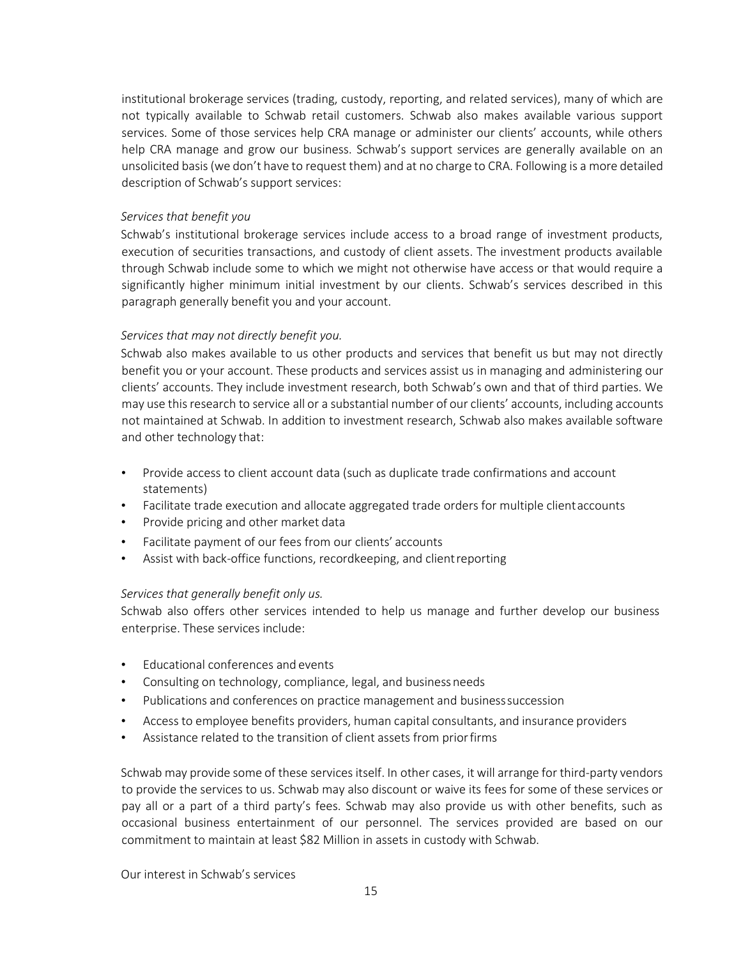institutional brokerage services (trading, custody, reporting, and related services), many of which are not typically available to Schwab retail customers. Schwab also makes available various support services. Some of those services help CRA manage or administer our clients' accounts, while others help CRA manage and grow our business. Schwab's support services are generally available on an unsolicited basis(we don't have to request them) and at no charge to CRA. Following is a more detailed description of Schwab's support services:

#### *Services that benefit you*

Schwab's institutional brokerage services include access to a broad range of investment products, execution of securities transactions, and custody of client assets. The investment products available through Schwab include some to which we might not otherwise have access or that would require a significantly higher minimum initial investment by our clients. Schwab's services described in this paragraph generally benefit you and your account.

#### *Services that may not directly benefit you.*

Schwab also makes available to us other products and services that benefit us but may not directly benefit you or your account. These products and services assist us in managing and administering our clients' accounts. They include investment research, both Schwab's own and that of third parties. We may use thisresearch to service all or a substantial number of our clients' accounts, including accounts not maintained at Schwab. In addition to investment research, Schwab also makes available software and other technology that:

- Provide access to client account data (such as duplicate trade confirmations and account statements)
- Facilitate trade execution and allocate aggregated trade orders for multiple clientaccounts
- Provide pricing and other market data
- Facilitate payment of our fees from our clients' accounts
- Assist with back-office functions, recordkeeping, and clientreporting

#### *Services that generally benefit only us.*

Schwab also offers other services intended to help us manage and further develop our business enterprise. These services include:

- Educational conferences and events
- Consulting on technology, compliance, legal, and businessneeds
- Publications and conferences on practice management and businesssuccession
- Access to employee benefits providers, human capital consultants, and insurance providers
- Assistance related to the transition of client assets from priorfirms

Schwab may provide some of these services itself. In other cases, it will arrange for third-party vendors to provide the services to us. Schwab may also discount or waive its fees for some of these services or pay all or a part of a third party's fees. Schwab may also provide us with other benefits, such as occasional business entertainment of our personnel. The services provided are based on our commitment to maintain at least \$82 Million in assets in custody with Schwab.

Our interest in Schwab's services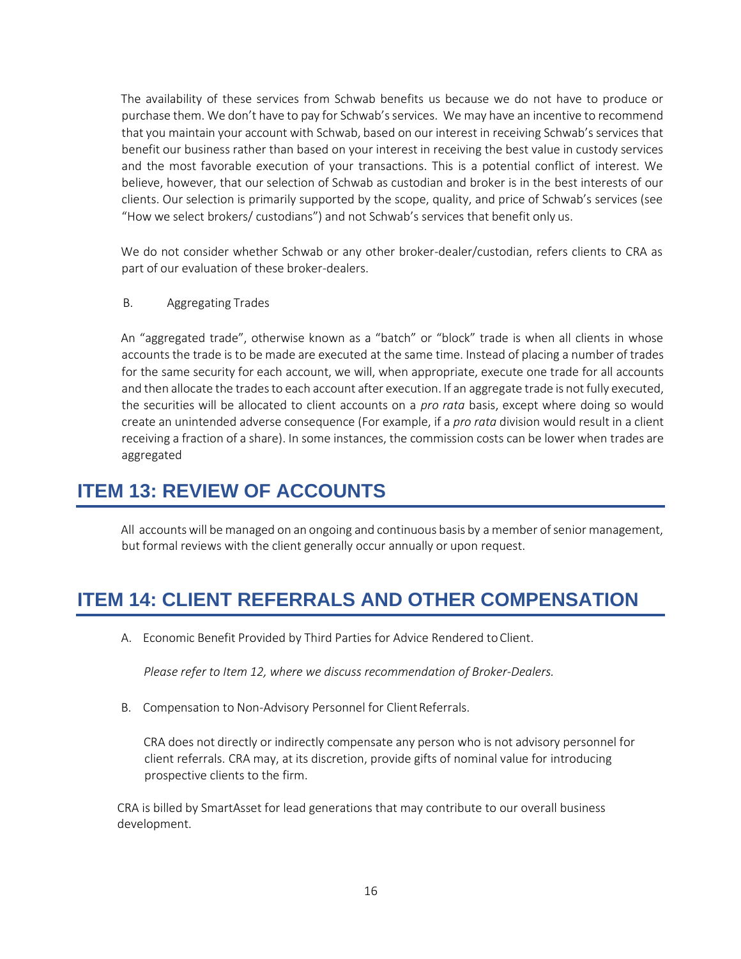The availability of these services from Schwab benefits us because we do not have to produce or purchase them. We don't have to pay for Schwab's services. We may have an incentive to recommend that you maintain your account with Schwab, based on our interest in receiving Schwab's services that benefit our business rather than based on your interest in receiving the best value in custody services and the most favorable execution of your transactions. This is a potential conflict of interest. We believe, however, that our selection of Schwab as custodian and broker is in the best interests of our clients. Our selection is primarily supported by the scope, quality, and price of Schwab's services (see "How we select brokers/ custodians") and not Schwab's services that benefit only us.

We do not consider whether Schwab or any other broker-dealer/custodian, refers clients to CRA as part of our evaluation of these broker-dealers.

B. Aggregating Trades

An "aggregated trade", otherwise known as a "batch" or "block" trade is when all clients in whose accounts the trade is to be made are executed at the same time. Instead of placing a number of trades for the same security for each account, we will, when appropriate, execute one trade for all accounts and then allocate the trades to each account after execution. If an aggregate trade is not fully executed, the securities will be allocated to client accounts on a *pro rata* basis, except where doing so would create an unintended adverse consequence (For example, if a *pro rata* division would result in a client receiving a fraction of a share). In some instances, the commission costs can be lower when trades are aggregated

### <span id="page-17-0"></span>**ITEM 13: REVIEW OF ACCOUNTS**

All accounts will be managed on an ongoing and continuous basis by a member of senior management, but formal reviews with the client generally occur annually or upon request.

## <span id="page-17-1"></span>**ITEM 14: CLIENT REFERRALS AND OTHER COMPENSATION**

A. Economic Benefit Provided by Third Parties for Advice Rendered toClient.

*Please refer to Item 12, where we discuss recommendation of Broker-Dealers.*

B. Compensation to Non-Advisory Personnel for Client Referrals.

CRA does not directly or indirectly compensate any person who is not advisory personnel for client referrals. CRA may, at its discretion, provide gifts of nominal value for introducing prospective clients to the firm.

CRA is billed by SmartAsset for lead generations that may contribute to our overall business development.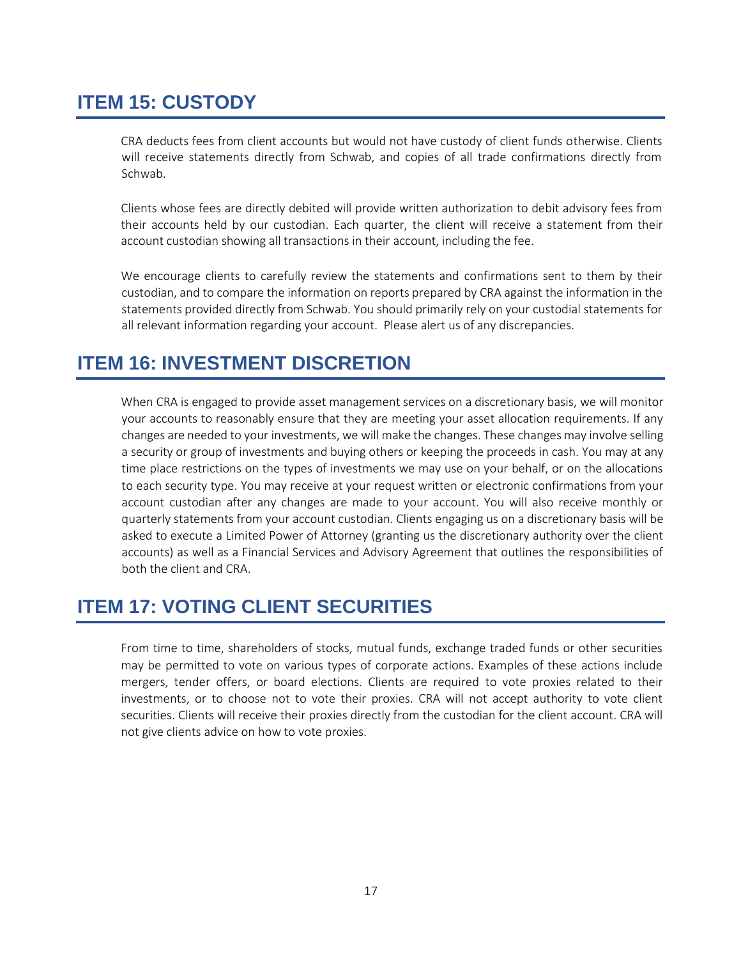# <span id="page-18-0"></span>**ITEM 15: CUSTODY**

CRA deducts fees from client accounts but would not have custody of client funds otherwise. Clients will receive statements directly from Schwab, and copies of all trade confirmations directly from Schwab.

Clients whose fees are directly debited will provide written authorization to debit advisory fees from their accounts held by our custodian. Each quarter, the client will receive a statement from their account custodian showing all transactions in their account, including the fee.

We encourage clients to carefully review the statements and confirmations sent to them by their custodian, and to compare the information on reports prepared by CRA against the information in the statements provided directly from Schwab. You should primarily rely on your custodial statements for all relevant information regarding your account. Please alert us of any discrepancies.

## <span id="page-18-1"></span>**ITEM 16: INVESTMENT DISCRETION**

When CRA is engaged to provide asset management services on a discretionary basis, we will monitor your accounts to reasonably ensure that they are meeting your asset allocation requirements. If any changes are needed to your investments, we will make the changes. These changes may involve selling a security or group of investments and buying others or keeping the proceeds in cash. You may at any time place restrictions on the types of investments we may use on your behalf, or on the allocations to each security type. You may receive at your request written or electronic confirmations from your account custodian after any changes are made to your account. You will also receive monthly or quarterly statements from your account custodian. Clients engaging us on a discretionary basis will be asked to execute a Limited Power of Attorney (granting us the discretionary authority over the client accounts) as well as a Financial Services and Advisory Agreement that outlines the responsibilities of both the client and CRA.

## <span id="page-18-2"></span>**ITEM 17: VOTING CLIENT SECURITIES**

From time to time, shareholders of stocks, mutual funds, exchange traded funds or other securities may be permitted to vote on various types of corporate actions. Examples of these actions include mergers, tender offers, or board elections. Clients are required to vote proxies related to their investments, or to choose not to vote their proxies. CRA will not accept authority to vote client securities. Clients will receive their proxies directly from the custodian for the client account. CRA will not give clients advice on how to vote proxies.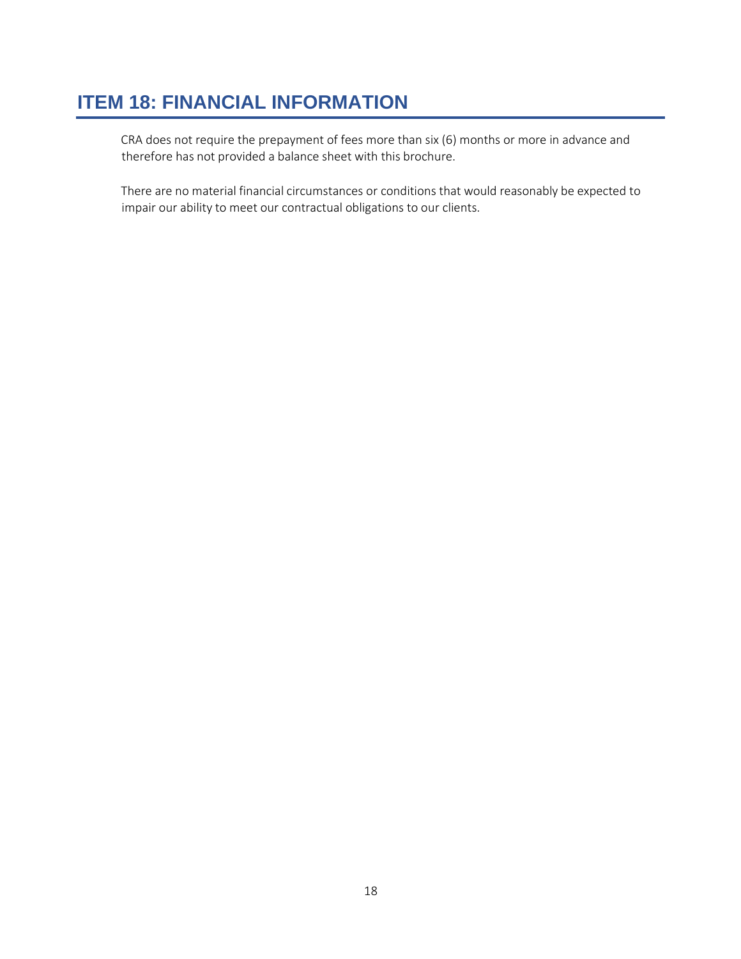# <span id="page-19-0"></span>**ITEM 18: FINANCIAL INFORMATION**

CRA does not require the prepayment of fees more than six (6) months or more in advance and therefore has not provided a balance sheet with this brochure.

There are no material financial circumstances or conditions that would reasonably be expected to impair our ability to meet our contractual obligations to our clients.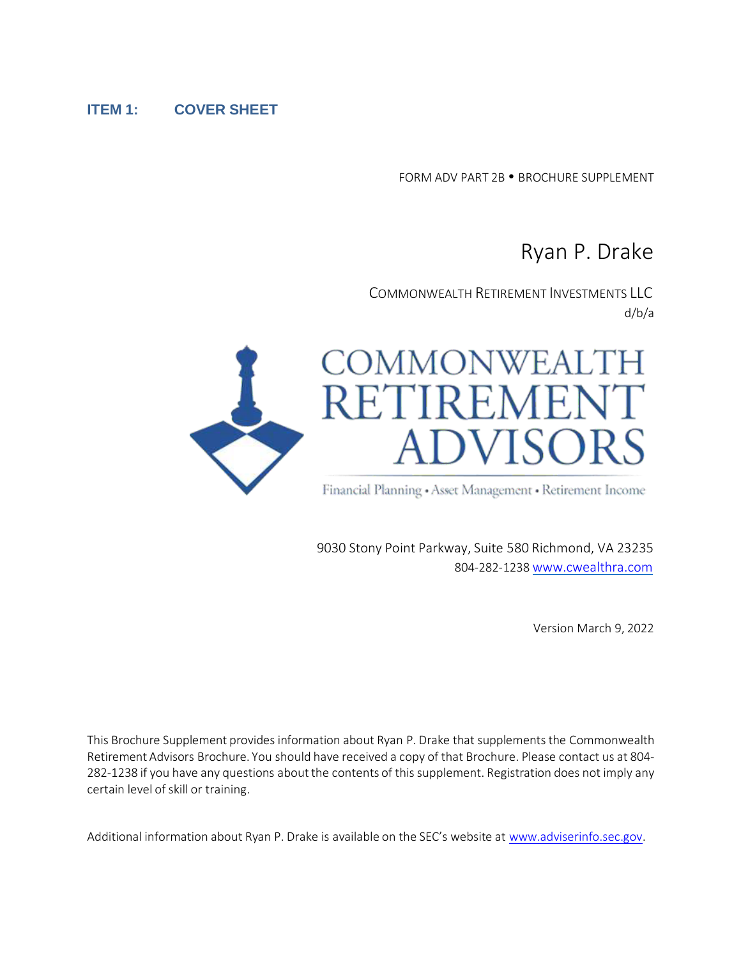#### **ITEM 1: COVER SHEET**

FORM ADV PART 2B . BROCHURE SUPPLEMENT

# Ryan P. Drake

COMMONWEALTH RETIREMENT INVESTMENTS LLC d/b/a



9030 Stony Point Parkway, Suite 580 Richmond, VA 23235 804-282-1238 [www.cwealthra.com](http://www.cwealthra.com/)

Version March 9, 2022

This Brochure Supplement provides information about Ryan P. Drake that supplements the Commonwealth Retirement Advisors Brochure. You should have received a copy of that Brochure. Please contact us at 804- 282-1238 if you have any questions about the contents of this supplement. Registration does not imply any certain level of skill or training.

Additional information about Ryan P. Drake is available on the SEC's website at [www.adviserinfo.sec.gov.](http://www.adviserinfo.sec.gov/)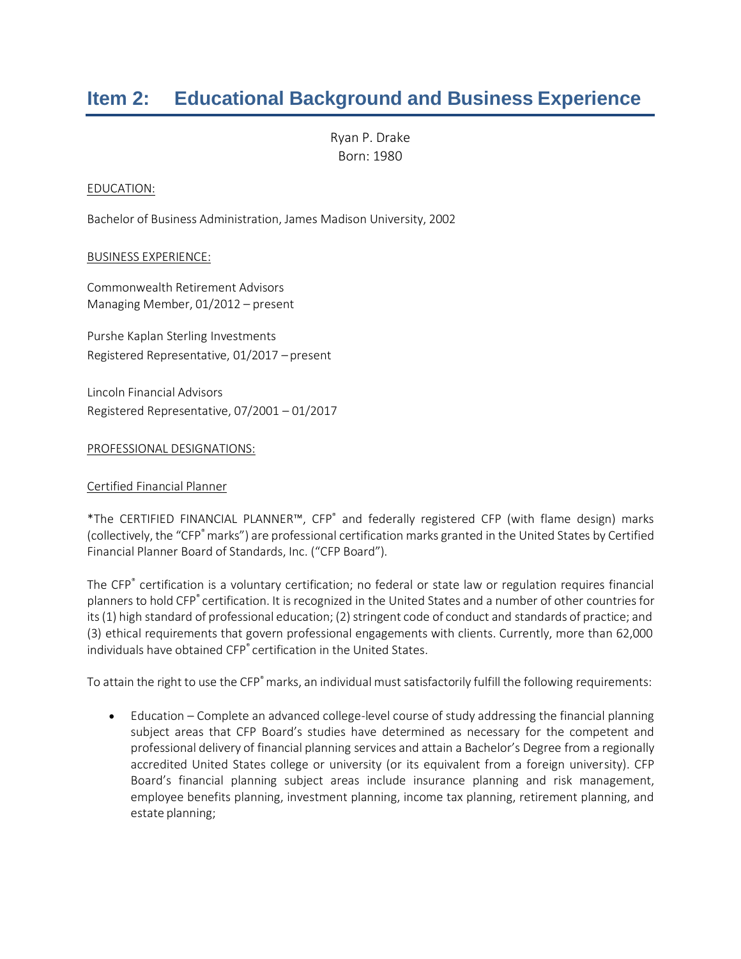# **Item 2: Educational Background and Business Experience**

Ryan P. Drake Born: 1980

#### EDUCATION:

Bachelor of Business Administration, James Madison University, 2002

#### BUSINESS EXPERIENCE:

Commonwealth Retirement Advisors Managing Member, 01/2012 – present

Purshe Kaplan Sterling Investments Registered Representative, 01/2017 – present

Lincoln Financial Advisors Registered Representative, 07/2001 – 01/2017

#### PROFESSIONAL DESIGNATIONS:

#### Certified Financial Planner

\*The CERTIFIED FINANCIAL PLANNER™, CFP® and federally registered CFP (with flame design) marks (collectively, the "CFP<sup>®</sup> marks") are professional certification marks granted in the United States by Certified Financial Planner Board of Standards, Inc. ("CFP Board").

The CFP® certification is a voluntary certification; no federal or state law or regulation requires financial planners to hold CFP® certification. It is recognized in the United States and a number of other countries for its (1) high standard of professional education; (2) stringent code of conduct and standards of practice; and (3) ethical requirements that govern professional engagements with clients. Currently, more than 62,000 individuals have obtained CFP® certification in the United States.

To attain the right to use the CFP<sup>®</sup> marks, an individual must satisfactorily fulfill the following requirements:

• Education – Complete an advanced college-level course of study addressing the financial planning subject areas that CFP Board's studies have determined as necessary for the competent and professional delivery of financial planning services and attain a Bachelor's Degree from a regionally accredited United States college or university (or its equivalent from a foreign university). CFP Board's financial planning subject areas include insurance planning and risk management, employee benefits planning, investment planning, income tax planning, retirement planning, and estate planning;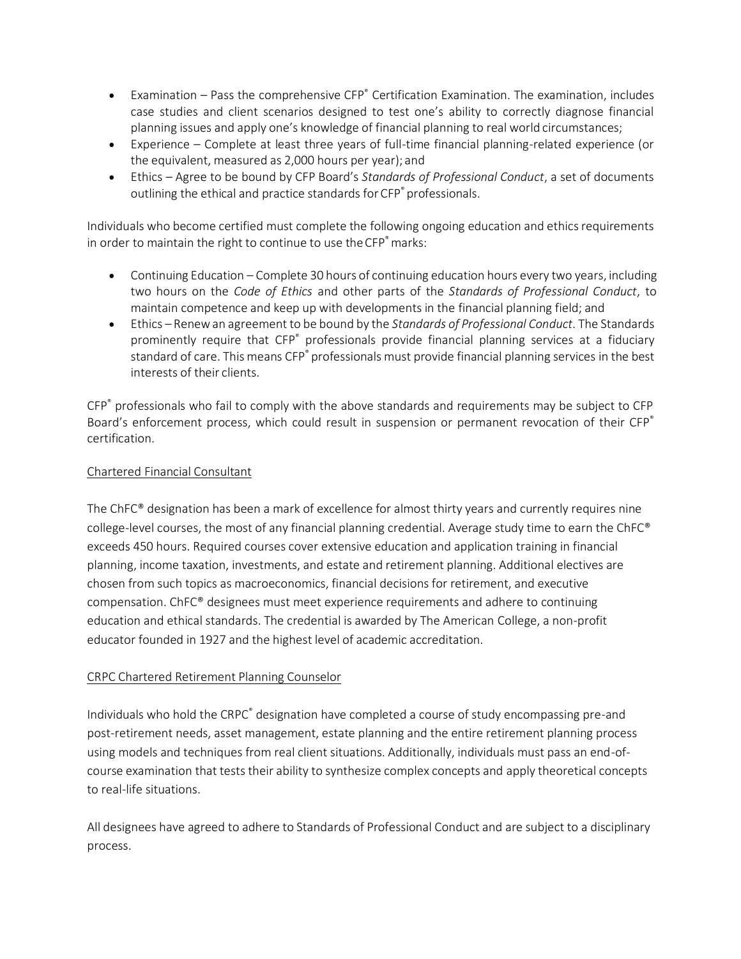- Examination Pass the comprehensive CFP® Certification Examination. The examination, includes case studies and client scenarios designed to test one's ability to correctly diagnose financial planning issues and apply one's knowledge of financial planning to real world circumstances;
- Experience Complete at least three years of full-time financial planning-related experience (or the equivalent, measured as 2,000 hours per year); and
- Ethics Agree to be bound by CFP Board's *Standards of Professional Conduct*, a set of documents outlining the ethical and practice standards for CFP<sup>®</sup> professionals.

Individuals who become certified must complete the following ongoing education and ethics requirements in order to maintain the right to continue to use the CFP<sup>®</sup> marks:

- Continuing Education Complete 30 hours of continuing education hours every two years, including two hours on the *Code of Ethics* and other parts of the *Standards of Professional Conduct*, to maintain competence and keep up with developments in the financial planning field; and
- Ethics Renewan agreement to be bound by the *Standards of Professional Conduct*. The Standards prominently require that CFP<sup>®</sup> professionals provide financial planning services at a fiduciary standard of care. This means CFP® professionals must provide financial planning services in the best interests of their clients.

CFP® professionals who fail to comply with the above standards and requirements may be subject to CFP Board's enforcement process, which could result in suspension or permanent revocation of their CFP<sup>®</sup> certification.

#### Chartered Financial Consultant

The ChFC® designation has been a mark of excellence for almost thirty years and currently requires nine college-level courses, the most of any financial planning credential. Average study time to earn the ChFC® exceeds 450 hours. Required courses cover extensive education and application training in financial planning, income taxation, investments, and estate and retirement planning. Additional electives are chosen from such topics as macroeconomics, financial decisions for retirement, and executive compensation. ChFC® designees must meet experience requirements and adhere to continuing education and ethical standards. The credential is awarded by The American College, a non-profit educator founded in 1927 and the highest level of academic accreditation.

#### CRPC Chartered Retirement Planning Counselor

Individuals who hold the CRPC<sup>®</sup> designation have completed a course of study encompassing pre-and post-retirement needs, asset management, estate planning and the entire retirement planning process using models and techniques from real client situations. Additionally, individuals must pass an end-ofcourse examination that tests their ability to synthesize complex concepts and apply theoretical concepts to real-life situations.

All designees have agreed to adhere to Standards of Professional Conduct and are subject to a disciplinary process.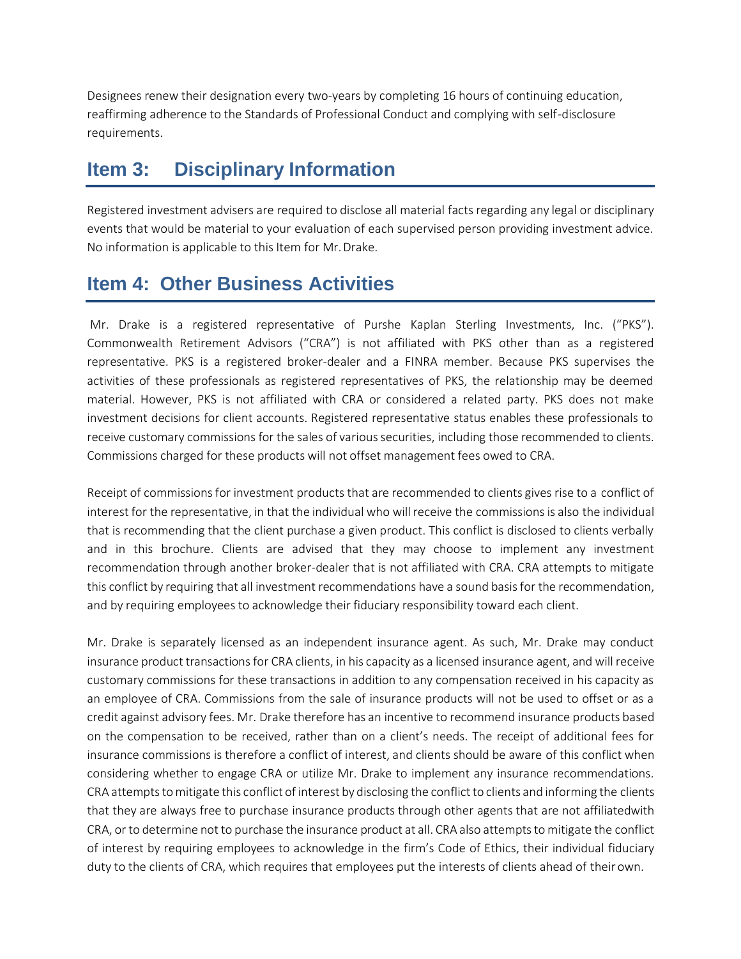Designees renew their designation every two-years by completing 16 hours of continuing education, reaffirming adherence to the Standards of Professional Conduct and complying with self-disclosure requirements.

## **Item 3: Disciplinary Information**

Registered investment advisers are required to disclose all material facts regarding any legal or disciplinary events that would be material to your evaluation of each supervised person providing investment advice. No information is applicable to this Item for Mr.Drake.

## **Item 4: Other Business Activities**

Mr. Drake is a registered representative of Purshe Kaplan Sterling Investments, Inc. ("PKS"). Commonwealth Retirement Advisors ("CRA") is not affiliated with PKS other than as a registered representative. PKS is a registered broker-dealer and a FINRA member. Because PKS supervises the activities of these professionals as registered representatives of PKS, the relationship may be deemed material. However, PKS is not affiliated with CRA or considered a related party. PKS does not make investment decisions for client accounts. Registered representative status enables these professionals to receive customary commissions for the sales of various securities, including those recommended to clients. Commissions charged for these products will not offset management fees owed to CRA.

Receipt of commissions for investment products that are recommended to clients gives rise to a conflict of interest for the representative, in that the individual who will receive the commissions is also the individual that is recommending that the client purchase a given product. This conflict is disclosed to clients verbally and in this brochure. Clients are advised that they may choose to implement any investment recommendation through another broker-dealer that is not affiliated with CRA. CRA attempts to mitigate this conflict by requiring that all investment recommendations have a sound basisfor the recommendation, and by requiring employees to acknowledge their fiduciary responsibility toward each client.

Mr. Drake is separately licensed as an independent insurance agent. As such, Mr. Drake may conduct insurance product transactions for CRA clients, in his capacity as a licensed insurance agent, and will receive customary commissions for these transactions in addition to any compensation received in his capacity as an employee of CRA. Commissions from the sale of insurance products will not be used to offset or as a credit against advisory fees. Mr. Drake therefore has an incentive to recommend insurance products based on the compensation to be received, rather than on a client's needs. The receipt of additional fees for insurance commissions is therefore a conflict of interest, and clients should be aware of this conflict when considering whether to engage CRA or utilize Mr. Drake to implement any insurance recommendations. CRA attempts to mitigate this conflict of interest by disclosing the conflict to clients and informing the clients that they are always free to purchase insurance products through other agents that are not affiliatedwith CRA, or to determine not to purchase the insurance product at all. CRA also attempts to mitigate the conflict of interest by requiring employees to acknowledge in the firm's Code of Ethics, their individual fiduciary duty to the clients of CRA, which requires that employees put the interests of clients ahead of their own.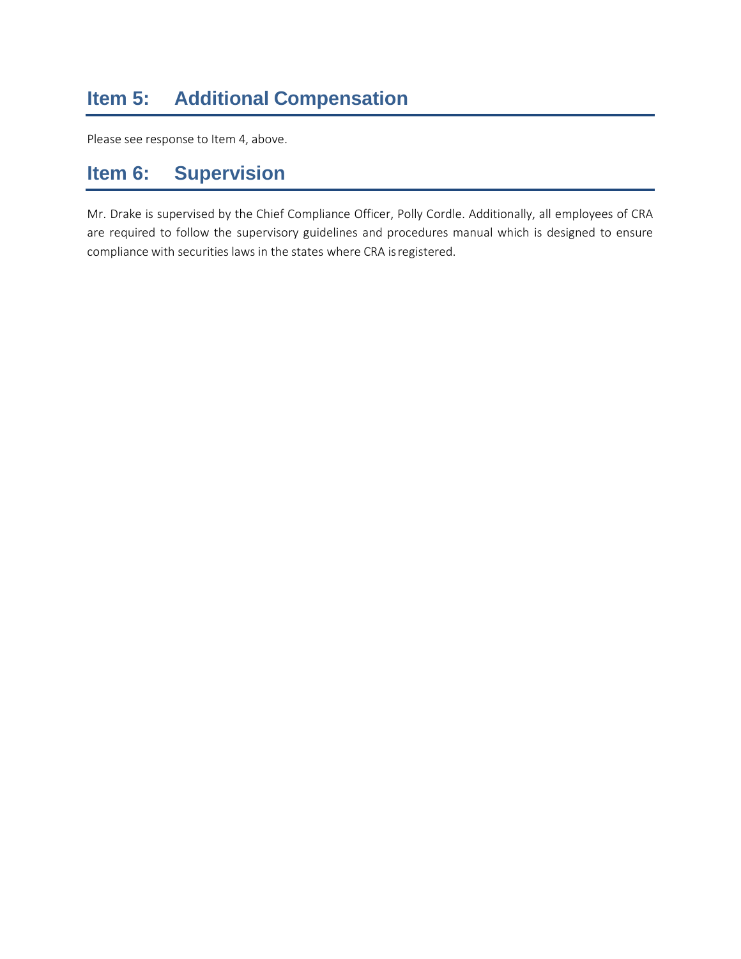# **Item 5: Additional Compensation**

Please see response to Item 4, above.

## **Item 6: Supervision**

Mr. Drake is supervised by the Chief Compliance Officer, Polly Cordle. Additionally, all employees of CRA are required to follow the supervisory guidelines and procedures manual which is designed to ensure compliance with securities laws in the states where CRA isregistered.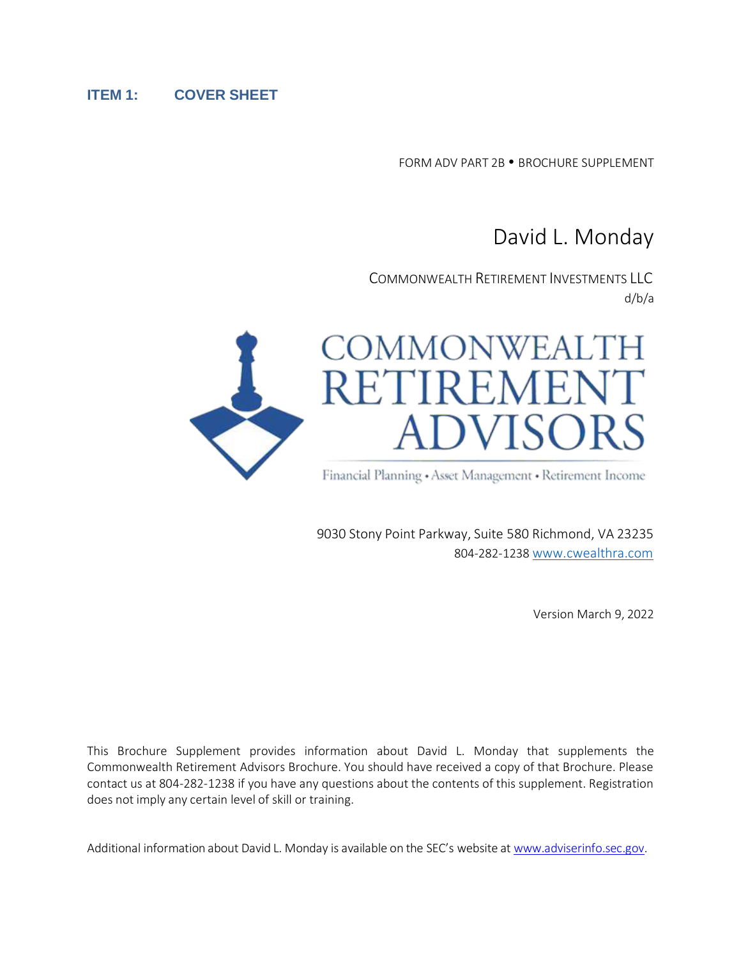#### **ITEM 1: COVER SHEET**

FORM ADV PART 2B . BROCHURE SUPPLEMENT

# David L. Monday

COMMONWEALTH RETIREMENT INVESTMENTS LLC d/b/a



**ADVISORS** 

Financial Planning • Asset Management • Retirement Income

9030 Stony Point Parkway, Suite 580 Richmond, VA 23235 804-282-1238 [www.cwealthra.com](http://www.cwealthra.com/)

Version March 9, 2022

This Brochure Supplement provides information about David L. Monday that supplements the Commonwealth Retirement Advisors Brochure. You should have received a copy of that Brochure. Please contact us at 804-282-1238 if you have any questions about the contents of this supplement. Registration does not imply any certain level of skill or training.

Additional information about David L. Monday is available on the SEC's website at [www.adviserinfo.sec.gov.](http://www.adviserinfo.sec.gov/)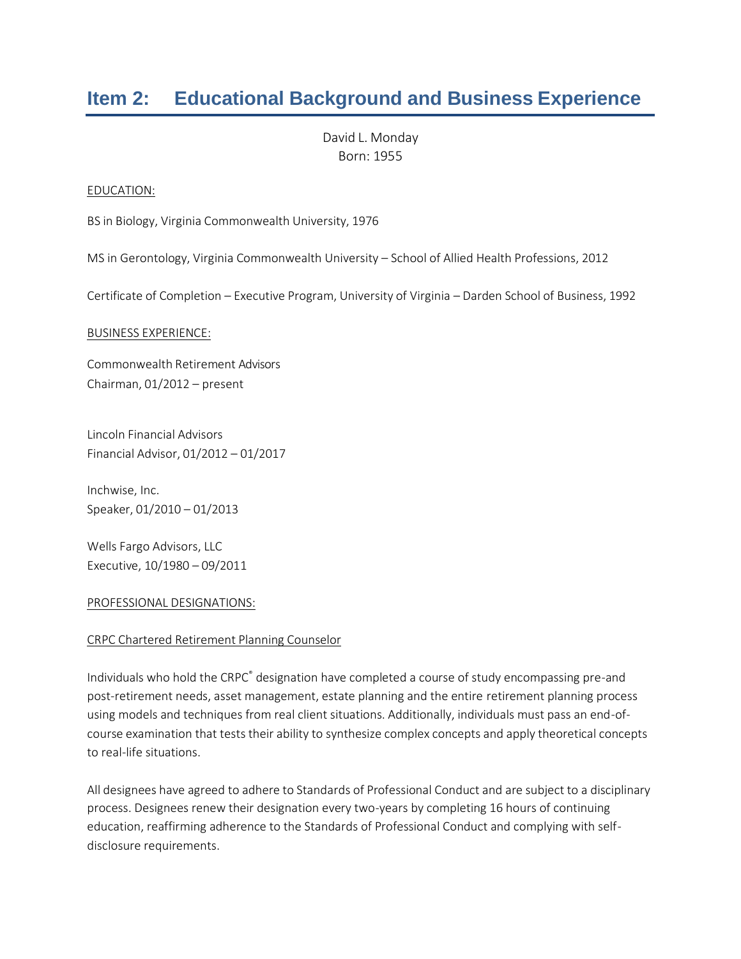# **Item 2: Educational Background and Business Experience**

David L. Monday Born: 1955

#### EDUCATION:

BS in Biology, Virginia Commonwealth University, 1976

MS in Gerontology, Virginia Commonwealth University – School of Allied Health Professions, 2012

Certificate of Completion – Executive Program, University of Virginia – Darden School of Business, 1992

#### BUSINESS EXPERIENCE:

Commonwealth Retirement Advisors Chairman, 01/2012 – present

Lincoln Financial Advisors Financial Advisor, 01/2012 – 01/2017

Inchwise, Inc. Speaker, 01/2010 – 01/2013

Wells Fargo Advisors, LLC Executive, 10/1980 – 09/2011

#### PROFESSIONAL DESIGNATIONS:

#### CRPC Chartered Retirement Planning Counselor

Individuals who hold the CRPC<sup>®</sup> designation have completed a course of study encompassing pre-and post-retirement needs, asset management, estate planning and the entire retirement planning process using models and techniques from real client situations. Additionally, individuals must pass an end-ofcourse examination that tests their ability to synthesize complex concepts and apply theoretical concepts to real-life situations.

All designees have agreed to adhere to Standards of Professional Conduct and are subject to a disciplinary process. Designees renew their designation every two-years by completing 16 hours of continuing education, reaffirming adherence to the Standards of Professional Conduct and complying with selfdisclosure requirements.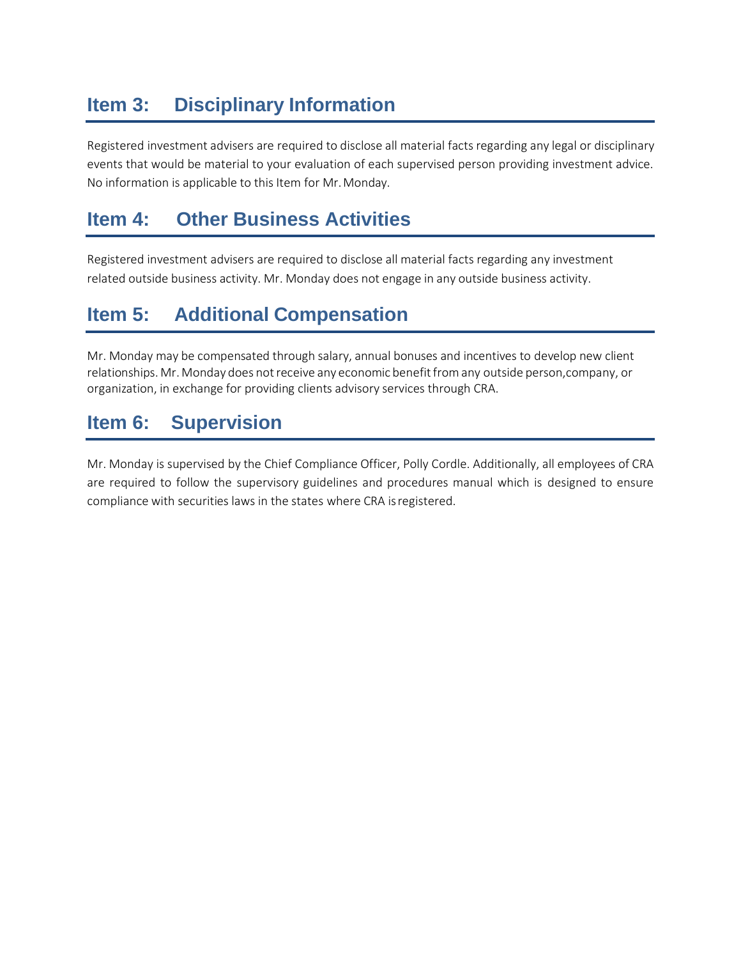# **Item 3: Disciplinary Information**

Registered investment advisers are required to disclose all material facts regarding any legal or disciplinary events that would be material to your evaluation of each supervised person providing investment advice. No information is applicable to this Item for Mr.Monday.

# **Item 4: Other Business Activities**

Registered investment advisers are required to disclose all material facts regarding any investment related outside business activity. Mr. Monday does not engage in any outside business activity.

# **Item 5: Additional Compensation**

Mr. Monday may be compensated through salary, annual bonuses and incentives to develop new client relationships. Mr. Monday does not receive any economic benefit from any outside person, company, or organization, in exchange for providing clients advisory services through CRA.

# **Item 6: Supervision**

Mr. Monday is supervised by the Chief Compliance Officer, Polly Cordle. Additionally, all employees of CRA are required to follow the supervisory guidelines and procedures manual which is designed to ensure compliance with securities laws in the states where CRA isregistered.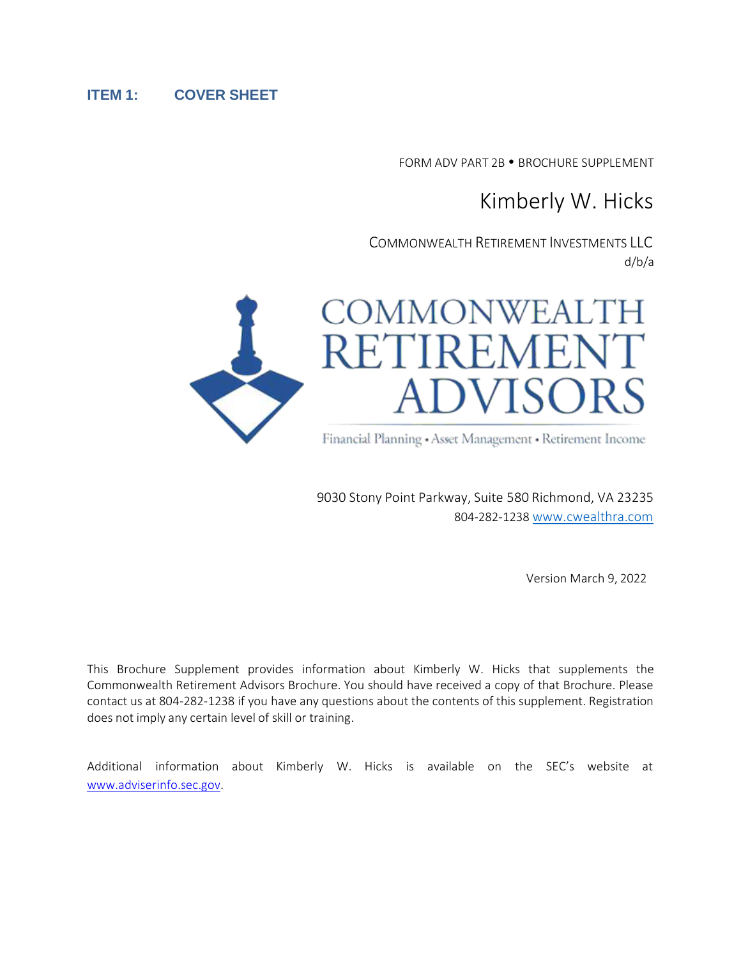#### **ITEM 1: COVER SHEET**

FORM ADV PART 2B . BROCHURE SUPPLEMENT

# Kimberly W. Hicks

COMMONWEALTH RETIREMENT INVESTMENTS LLC d/b/a



Financial Planning • Asset Management • Retirement Income

9030 Stony Point Parkway, Suite 580 Richmond, VA 23235 804-282-1238 [www.cwealthra.com](http://www.cwealthra.com/)

Version March 9, 2022

This Brochure Supplement provides information about Kimberly W. Hicks that supplements the Commonwealth Retirement Advisors Brochure. You should have received a copy of that Brochure. Please contact us at 804-282-1238 if you have any questions about the contents of this supplement. Registration does not imply any certain level of skill or training.

Additional information about Kimberly W. Hicks is available on the SEC's website at [www.adviserinfo.sec.gov.](http://www.adviserinfo.sec.gov/)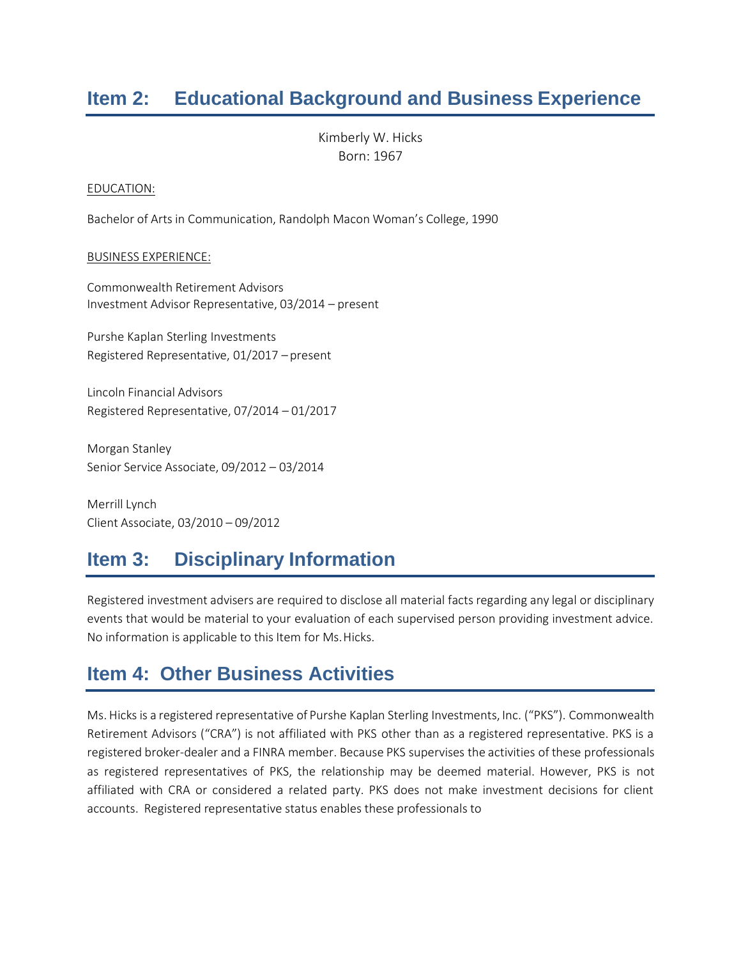# **Item 2: Educational Background and Business Experience**

Kimberly W. Hicks Born: 1967

#### EDUCATION:

Bachelor of Arts in Communication, Randolph Macon Woman's College, 1990

#### BUSINESS EXPERIENCE:

Commonwealth Retirement Advisors Investment Advisor Representative, 03/2014 – present

Purshe Kaplan Sterling Investments Registered Representative, 01/2017 – present

Lincoln Financial Advisors Registered Representative, 07/2014 – 01/2017

Morgan Stanley Senior Service Associate, 09/2012 – 03/2014

Merrill Lynch Client Associate, 03/2010 – 09/2012

# **Item 3: Disciplinary Information**

Registered investment advisers are required to disclose all material facts regarding any legal or disciplinary events that would be material to your evaluation of each supervised person providing investment advice. No information is applicable to this Item for Ms.Hicks.

# **Item 4: Other Business Activities**

Ms. Hicks is a registered representative of Purshe Kaplan Sterling Investments, Inc. ("PKS"). Commonwealth Retirement Advisors ("CRA") is not affiliated with PKS other than as a registered representative. PKS is a registered broker-dealer and a FINRA member. Because PKS supervises the activities of these professionals as registered representatives of PKS, the relationship may be deemed material. However, PKS is not affiliated with CRA or considered a related party. PKS does not make investment decisions for client accounts. Registered representative status enables these professionals to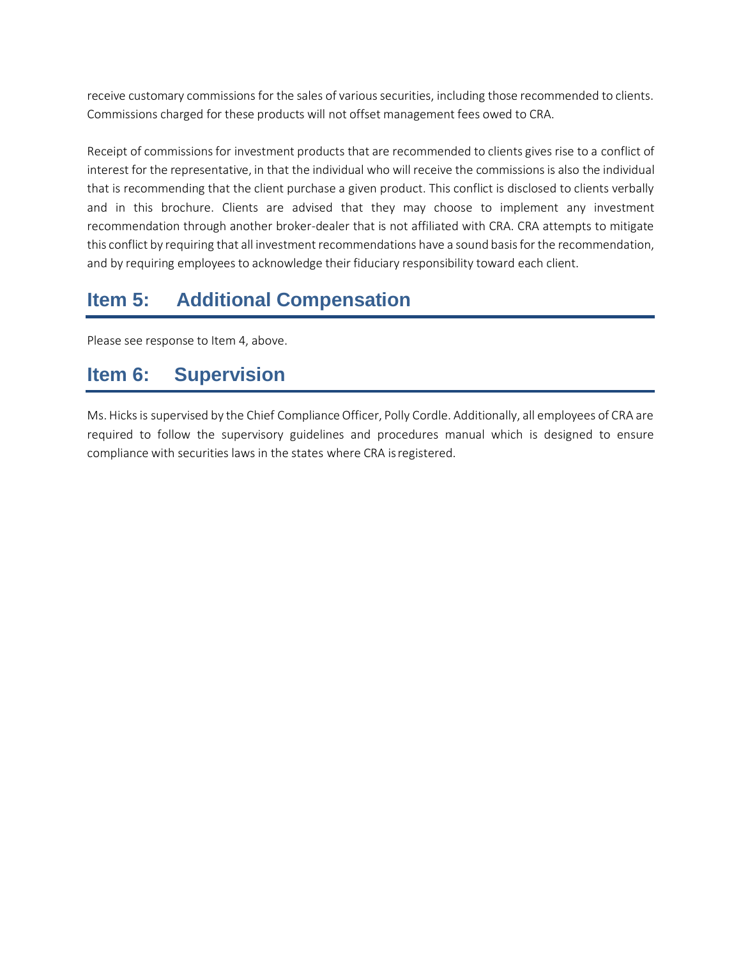receive customary commissions for the sales of various securities, including those recommended to clients. Commissions charged for these products will not offset management fees owed to CRA.

Receipt of commissions for investment products that are recommended to clients gives rise to a conflict of interest for the representative, in that the individual who will receive the commissionsis also the individual that is recommending that the client purchase a given product. This conflict is disclosed to clients verbally and in this brochure. Clients are advised that they may choose to implement any investment recommendation through another broker-dealer that is not affiliated with CRA. CRA attempts to mitigate this conflict by requiring that all investment recommendations have a sound basisfor the recommendation, and by requiring employees to acknowledge their fiduciary responsibility toward each client.

# **Item 5: Additional Compensation**

Please see response to Item 4, above.

# **Item 6: Supervision**

Ms. Hicksis supervised by the Chief ComplianceOfficer, Polly Cordle. Additionally, all employees of CRA are required to follow the supervisory guidelines and procedures manual which is designed to ensure compliance with securities laws in the states where CRA isregistered.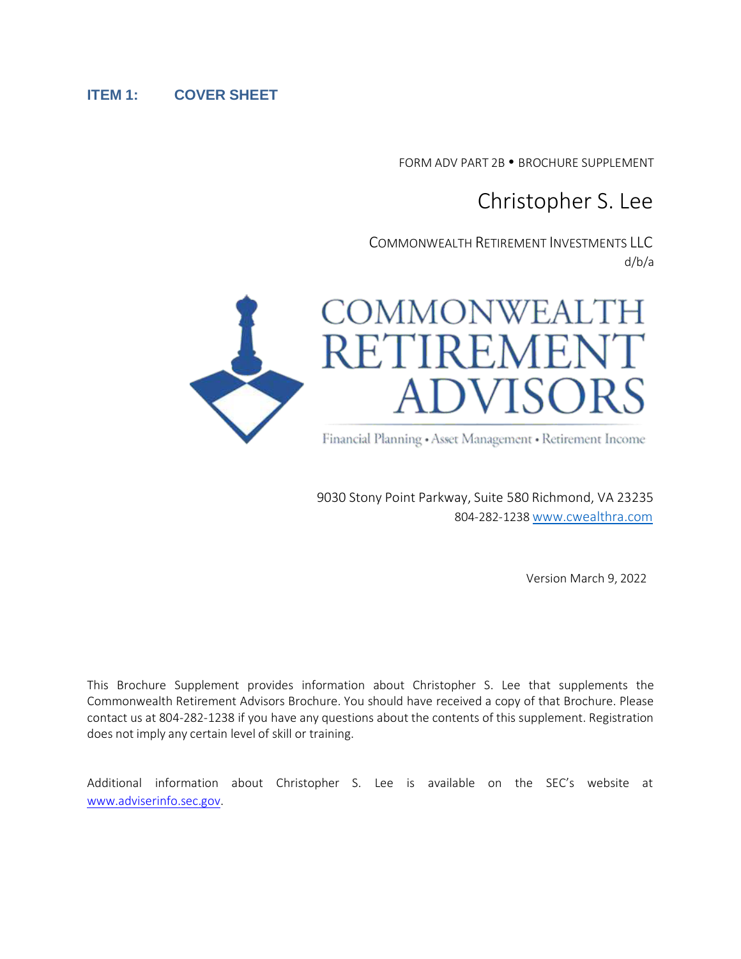#### **ITEM 1: COVER SHEET**

FORM ADV PART 2B . BROCHURE SUPPLEMENT

# Christopher S. Lee

COMMONWEALTH RETIREMENT INVESTMENTS LLC d/b/a



Financial Planning • Asset Management • Retirement Income

9030 Stony Point Parkway, Suite 580 Richmond, VA 23235 804-282-1238 [www.cwealthra.com](http://www.cwealthra.com/)

Version March 9, 2022

This Brochure Supplement provides information about Christopher S. Lee that supplements the Commonwealth Retirement Advisors Brochure. You should have received a copy of that Brochure. Please contact us at 804-282-1238 if you have any questions about the contents of this supplement. Registration does not imply any certain level of skill or training.

Additional information about Christopher S. Lee is available on the SEC's website at [www.adviserinfo.sec.gov.](http://www.adviserinfo.sec.gov/)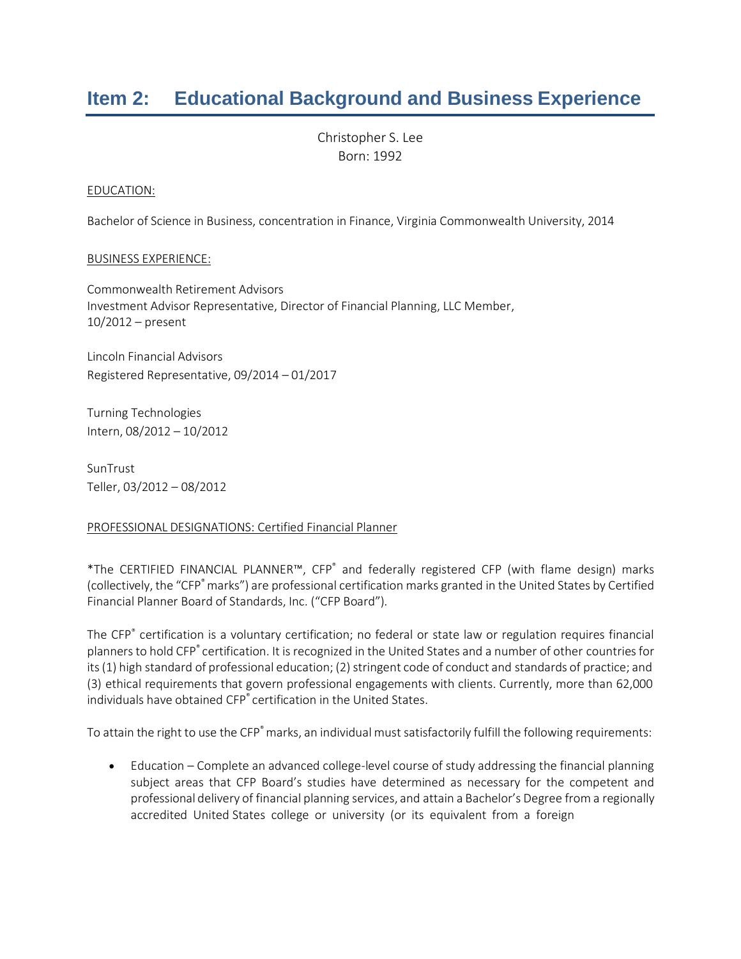# **Item 2: Educational Background and Business Experience**

Christopher S. Lee Born: 1992

#### EDUCATION:

Bachelor of Science in Business, concentration in Finance, Virginia Commonwealth University, 2014

#### BUSINESS EXPERIENCE:

Commonwealth Retirement Advisors Investment Advisor Representative, Director of Financial Planning, LLC Member, 10/2012 – present

Lincoln Financial Advisors Registered Representative, 09/2014 – 01/2017

Turning Technologies Intern, 08/2012 – 10/2012

SunTrust Teller, 03/2012 – 08/2012

#### PROFESSIONAL DESIGNATIONS: Certified Financial Planner

\*The CERTIFIED FINANCIAL PLANNER™, CFP® and federally registered CFP (with flame design) marks (collectively, the "CFP<sup>®</sup> marks") are professional certification marks granted in the United States by Certified Financial Planner Board of Standards, Inc. ("CFP Board").

The CFP® certification is a voluntary certification; no federal or state law or regulation requires financial planners to hold CFP® certification. It is recognized in the United States and a number of other countries for its (1) high standard of professional education; (2) stringent code of conduct and standards of practice; and (3) ethical requirements that govern professional engagements with clients. Currently, more than 62,000 individuals have obtained CFP® certification in the United States.

To attain the right to use the CFP<sup>®</sup> marks, an individual must satisfactorily fulfill the following requirements:

• Education – Complete an advanced college-level course of study addressing the financial planning subject areas that CFP Board's studies have determined as necessary for the competent and professional delivery of financial planning services, and attain a Bachelor's Degree from a regionally accredited United States college or university (or its equivalent from a foreign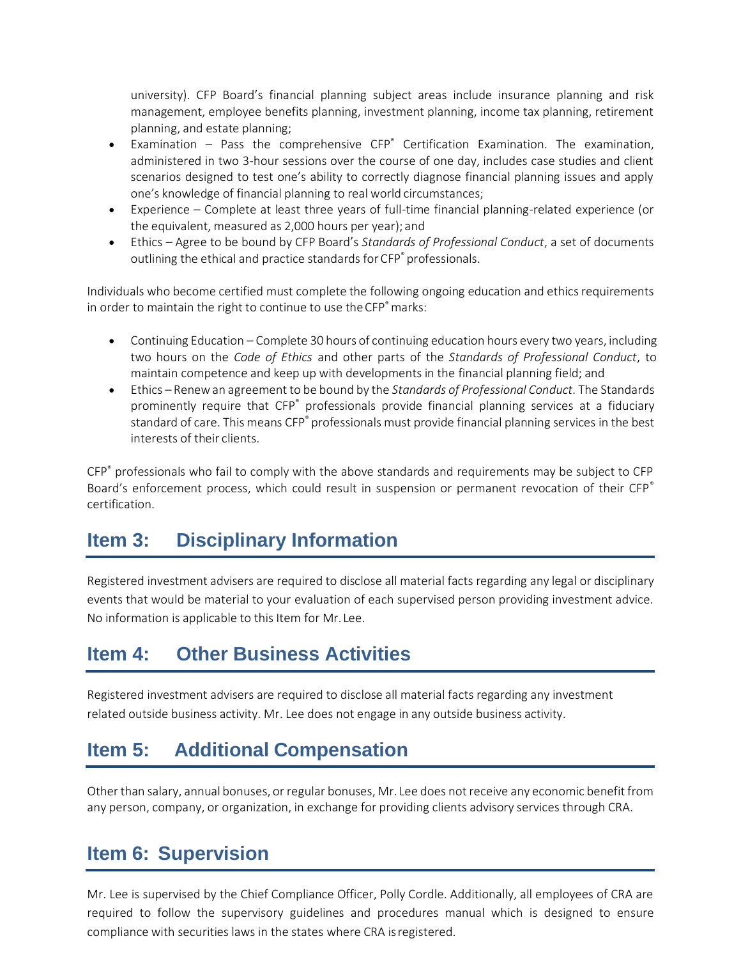university). CFP Board's financial planning subject areas include insurance planning and risk management, employee benefits planning, investment planning, income tax planning, retirement planning, and estate planning;

- Examination Pass the comprehensive  $CFP^*$  Certification Examination. The examination, administered in two 3-hour sessions over the course of one day, includes case studies and client scenarios designed to test one's ability to correctly diagnose financial planning issues and apply one's knowledge of financial planning to real world circumstances;
- Experience Complete at least three years of full-time financial planning-related experience (or the equivalent, measured as 2,000 hours per year); and
- Ethics Agree to be bound by CFP Board's *Standards of Professional Conduct*, a set of documents outlining the ethical and practice standards for CFP<sup>®</sup> professionals.

Individuals who become certified must complete the following ongoing education and ethics requirements in order to maintain the right to continue to use the CFP<sup>®</sup> marks:

- Continuing Education Complete 30 hours of continuing education hours every two years, including two hours on the *Code of Ethics* and other parts of the *Standards of Professional Conduct*, to maintain competence and keep up with developments in the financial planning field; and
- Ethics Renewan agreement to be bound by the *Standards of Professional Conduct*. The Standards prominently require that CFP<sup>®</sup> professionals provide financial planning services at a fiduciary standard of care. This means CFP® professionals must provide financial planning services in the best interests of their clients.

CFP® professionals who fail to comply with the above standards and requirements may be subject to CFP Board's enforcement process, which could result in suspension or permanent revocation of their CFP<sup>®</sup> certification.

# **Item 3: Disciplinary Information**

Registered investment advisers are required to disclose all material facts regarding any legal or disciplinary events that would be material to your evaluation of each supervised person providing investment advice. No information is applicable to this Item for Mr. Lee.

## **Item 4: Other Business Activities**

Registered investment advisers are required to disclose all material facts regarding any investment related outside business activity. Mr. Lee does not engage in any outside business activity.

# **Item 5: Additional Compensation**

Other than salary, annual bonuses, or regular bonuses, Mr. Lee does not receive any economic benefit from any person, company, or organization, in exchange for providing clients advisory services through CRA.

# **Item 6: Supervision**

Mr. Lee is supervised by the Chief Compliance Officer, Polly Cordle. Additionally, all employees of CRA are required to follow the supervisory guidelines and procedures manual which is designed to ensure compliance with securities laws in the states where CRA isregistered.